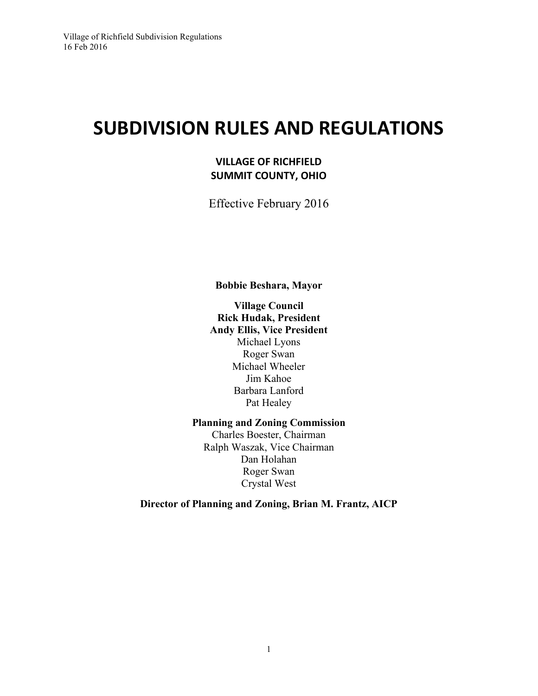# **SUBDIVISION RULES AND REGULATIONS**

# **VILLAGE OF RICHFIELD SUMMIT COUNTY, OHIO**

Effective February 2016

**Bobbie Beshara, Mayor**

**Village Council Rick Hudak, President Andy Ellis, Vice President** Michael Lyons Roger Swan Michael Wheeler Jim Kahoe Barbara Lanford Pat Healey

**Planning and Zoning Commission**

Charles Boester, Chairman Ralph Waszak, Vice Chairman Dan Holahan Roger Swan Crystal West

**Director of Planning and Zoning, Brian M. Frantz, AICP**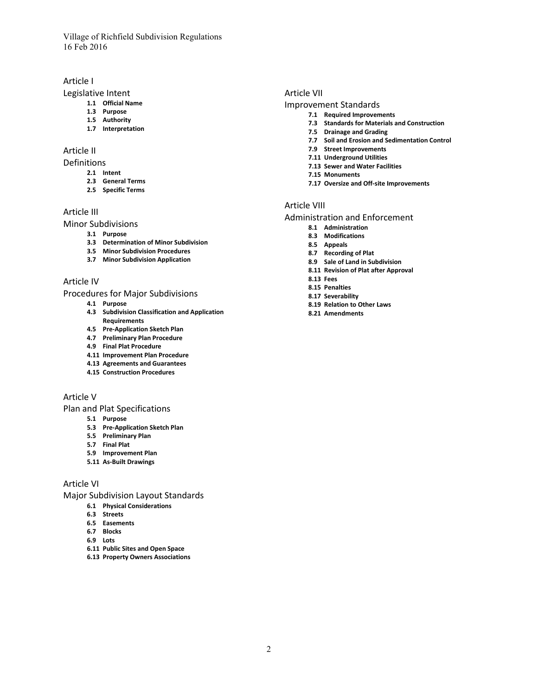#### Article I

#### Legislative Intent

- **1.1 Official Name**
- **1.3 Purpose**
- **1.5 Authority**
- **1.7 Interpretation**

#### Article II

#### Definitions

- **2.1 Intent**
- **2.3 General Terms**
- **2.5 Specific Terms**

#### Article III

Minor Subdivisions

- **3.1 Purpose**
- **3.3 Determination of Minor Subdivision**
- **3.5 Minor Subdivision Procedures**
- **3.7 Minor Subdivision Application**

#### Article IV

#### Procedures for Major Subdivisions

- **4.1 Purpose**
- **4.3 Subdivision Classification and Application Requirements**
- **4.5 Pre-Application Sketch Plan**
- **4.7 Preliminary Plan Procedure**
- **4.9 Final Plat Procedure**
- **4.11 Improvement Plan Procedure**
- **4.13 Agreements and Guarantees**
- **4.15 Construction Procedures**

#### Article V

Plan and Plat Specifications

- **5.1 Purpose**
- **5.3 Pre-Application Sketch Plan**
- **5.5 Preliminary Plan**
- **5.7 Final Plat**
- **5.9 Improvement Plan**
- **5.11 As-Built Drawings**

#### Article VI

Major Subdivision Layout Standards

- **6.1 Physical Considerations**
- **6.3 Streets**
- **6.5 Easements**
- **6.7 Blocks**
- **6.9 Lots**
- **6.11 Public Sites and Open Space**
- **6.13 Property Owners Associations**

#### Article VII

#### Improvement Standards

- **7.1 Required Improvements**
- **7.3 Standards for Materials and Construction**
- **7.5 Drainage and Grading**
- **7.7 Soil and Erosion and Sedimentation Control**
- **7.9 Street Improvements**
- **7.11 Underground Utilities**
- **7.13 Sewer and Water Facilities**
- **7.15 Monuments**
- **7.17 Oversize and Off-site Improvements**

#### Article VIII

#### Administration and Enforcement

- **8.1 Administration**
- **8.3 Modifications**
- **8.5 Appeals**
- **8.7 Recording of Plat**
- **8.9 Sale of Land in Subdivision**
- **8.11 Revision of Plat after Approval**
- **8.13 Fees**
- **8.15 Penalties**
- **8.17 Severability**
- **8.19 Relation to Other Laws**
- **8.21 Amendments**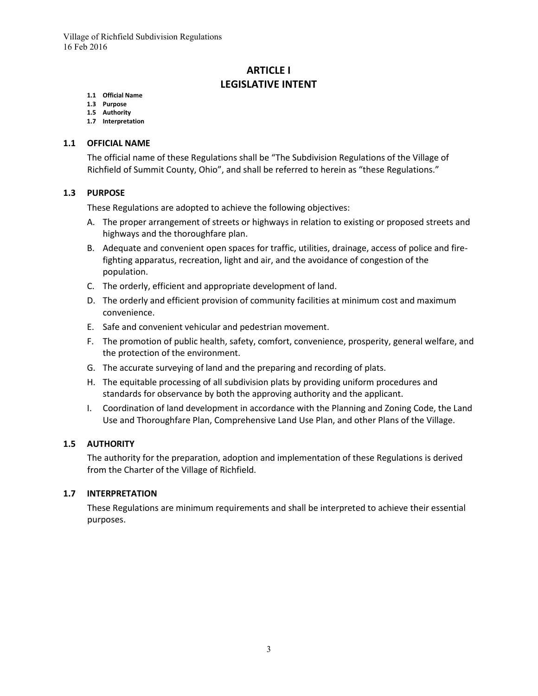# **ARTICLE I LEGISLATIVE INTENT**

#### **1.1 Official Name**

- **1.3 Purpose**
- **1.5 Authority**
- **1.7 Interpretation**

#### **1.1 OFFICIAL NAME**

The official name of these Regulations shall be "The Subdivision Regulations of the Village of Richfield of Summit County, Ohio", and shall be referred to herein as "these Regulations."

#### **1.3 PURPOSE**

These Regulations are adopted to achieve the following objectives:

- A. The proper arrangement of streets or highways in relation to existing or proposed streets and highways and the thoroughfare plan.
- B. Adequate and convenient open spaces for traffic, utilities, drainage, access of police and firefighting apparatus, recreation, light and air, and the avoidance of congestion of the population.
- C. The orderly, efficient and appropriate development of land.
- D. The orderly and efficient provision of community facilities at minimum cost and maximum convenience.
- E. Safe and convenient vehicular and pedestrian movement.
- F. The promotion of public health, safety, comfort, convenience, prosperity, general welfare, and the protection of the environment.
- G. The accurate surveying of land and the preparing and recording of plats.
- H. The equitable processing of all subdivision plats by providing uniform procedures and standards for observance by both the approving authority and the applicant.
- I. Coordination of land development in accordance with the Planning and Zoning Code, the Land Use and Thoroughfare Plan, Comprehensive Land Use Plan, and other Plans of the Village.

#### **1.5 AUTHORITY**

The authority for the preparation, adoption and implementation of these Regulations is derived from the Charter of the Village of Richfield.

#### **1.7 INTERPRETATION**

These Regulations are minimum requirements and shall be interpreted to achieve their essential purposes.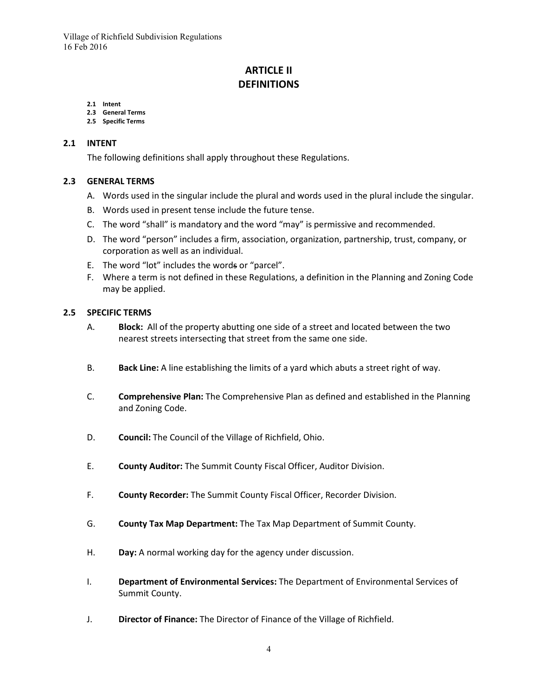# **ARTICLE II DEFINITIONS**

#### **2.1 Intent**

- **2.3 General Terms**
- **2.5 Specific Terms**

#### **2.1 INTENT**

The following definitions shall apply throughout these Regulations.

#### **2.3 GENERAL TERMS**

- A. Words used in the singular include the plural and words used in the plural include the singular.
- B. Words used in present tense include the future tense.
- C. The word "shall" is mandatory and the word "may" is permissive and recommended.
- D. The word "person" includes a firm, association, organization, partnership, trust, company, or corporation as well as an individual.
- E. The word "lot" includes the words or "parcel".
- F. Where a term is not defined in these Regulations, a definition in the Planning and Zoning Code may be applied.

#### **2.5 SPECIFIC TERMS**

- A. **Block:** All of the property abutting one side of a street and located between the two nearest streets intersecting that street from the same one side.
- B. **Back Line:** A line establishing the limits of a yard which abuts a street right of way.
- C. **Comprehensive Plan:** The Comprehensive Plan as defined and established in the Planning and Zoning Code.
- D. **Council:** The Council of the Village of Richfield, Ohio.
- E. **County Auditor:** The Summit County Fiscal Officer, Auditor Division.
- F. **County Recorder:** The Summit County Fiscal Officer, Recorder Division.
- G. **County Tax Map Department:** The Tax Map Department of Summit County.
- H. **Day:** A normal working day for the agency under discussion.
- I. **Department of Environmental Services:** The Department of Environmental Services of Summit County.
- J. **Director of Finance:** The Director of Finance of the Village of Richfield.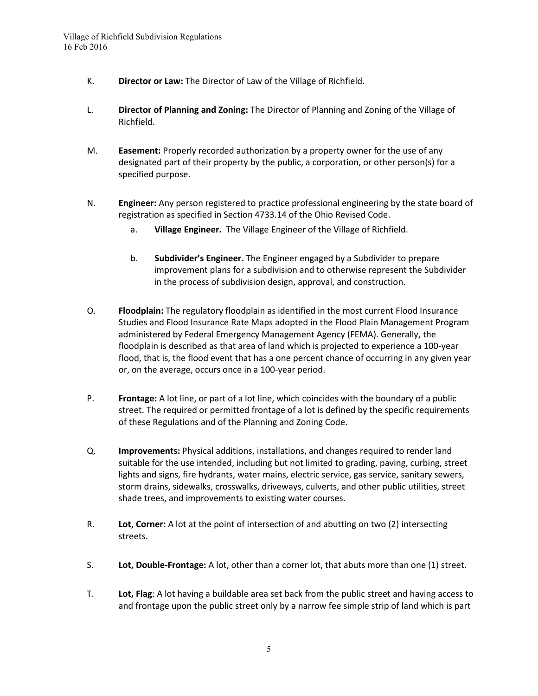- K. **Director or Law:** The Director of Law of the Village of Richfield.
- L. **Director of Planning and Zoning:** The Director of Planning and Zoning of the Village of Richfield.
- M. **Easement:** Properly recorded authorization by a property owner for the use of any designated part of their property by the public, a corporation, or other person(s) for a specified purpose.
- N. **Engineer:** Any person registered to practice professional engineering by the state board of registration as specified in Section 4733.14 of the Ohio Revised Code.
	- a. **Village Engineer.** The Village Engineer of the Village of Richfield.
	- b. **Subdivider's Engineer.** The Engineer engaged by a Subdivider to prepare improvement plans for a subdivision and to otherwise represent the Subdivider in the process of subdivision design, approval, and construction.
- O. **Floodplain:** The regulatory floodplain as identified in the most current Flood Insurance Studies and Flood Insurance Rate Maps adopted in the Flood Plain Management Program administered by Federal Emergency Management Agency (FEMA). Generally, the floodplain is described as that area of land which is projected to experience a 100-year flood, that is, the flood event that has a one percent chance of occurring in any given year or, on the average, occurs once in a 100-year period.
- P. **Frontage:** A lot line, or part of a lot line, which coincides with the boundary of a public street. The required or permitted frontage of a lot is defined by the specific requirements of these Regulations and of the Planning and Zoning Code.
- Q. **Improvements:** Physical additions, installations, and changes required to render land suitable for the use intended, including but not limited to grading, paving, curbing, street lights and signs, fire hydrants, water mains, electric service, gas service, sanitary sewers, storm drains, sidewalks, crosswalks, driveways, culverts, and other public utilities, street shade trees, and improvements to existing water courses.
- R. **Lot, Corner:** A lot at the point of intersection of and abutting on two (2) intersecting streets.
- S. **Lot, Double-Frontage:** A lot, other than a corner lot, that abuts more than one (1) street.
- T. **Lot, Flag**: A lot having a buildable area set back from the public street and having access to and frontage upon the public street only by a narrow fee simple strip of land which is part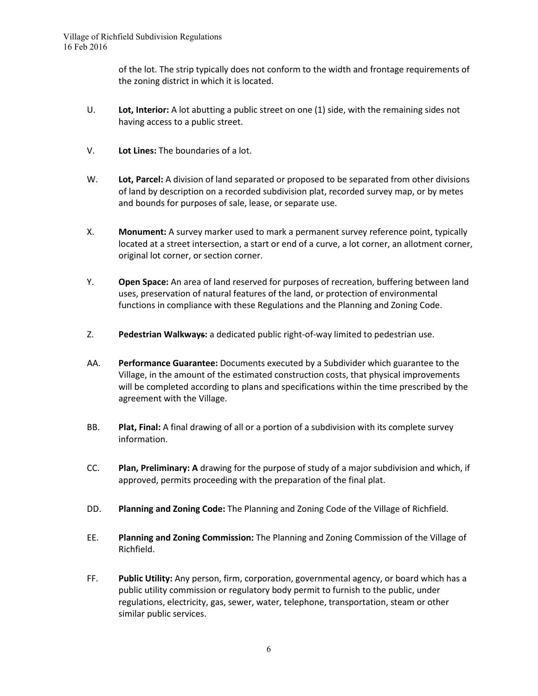of the lot. The strip typically does not conform to the width and frontage requirements of the zoning district in which it is located.

- U. **Lot, Interior:** A lot abutting a public street on one (1) side, with the remaining sides not having access to a public street.
- V. **Lot Lines:** The boundaries of a lot.
- W. **Lot, Parcel:** A division of land separated or proposed to be separated from other divisions of land by description on a recorded subdivision plat, recorded survey map, or by metes and bounds for purposes of sale, lease, or separate use.
- X. **Monument:** A survey marker used to mark a permanent survey reference point, typically located at a street intersection, a start or end of a curve, a lot corner, an allotment corner, original lot corner, or section corner.
- Y. **Open Space:** An area of land reserved for purposes of recreation, buffering between land uses, preservation of natural features of the land, or protection of environmental functions in compliance with these Regulations and the Planning and Zoning Code.
- Z. **Pedestrian Walkways:** a dedicated public right-of-way limited to pedestrian use.
- AA. **Performance Guarantee:** Documents executed by a Subdivider which guarantee to the Village, in the amount of the estimated construction costs, that physical improvements will be completed according to plans and specifications within the time prescribed by the agreement with the Village.
- BB. **Plat, Final:** A final drawing of all or a portion of a subdivision with its complete survey information.
- CC. **Plan, Preliminary: A** drawing for the purpose of study of a major subdivision and which, if approved, permits proceeding with the preparation of the final plat.
- DD. **Planning and Zoning Code:** The Planning and Zoning Code of the Village of Richfield.
- EE. **Planning and Zoning Commission:** The Planning and Zoning Commission of the Village of Richfield.
- FF. **Public Utility:** Any person, firm, corporation, governmental agency, or board which has a public utility commission or regulatory body permit to furnish to the public, under regulations, electricity, gas, sewer, water, telephone, transportation, steam or other similar public services.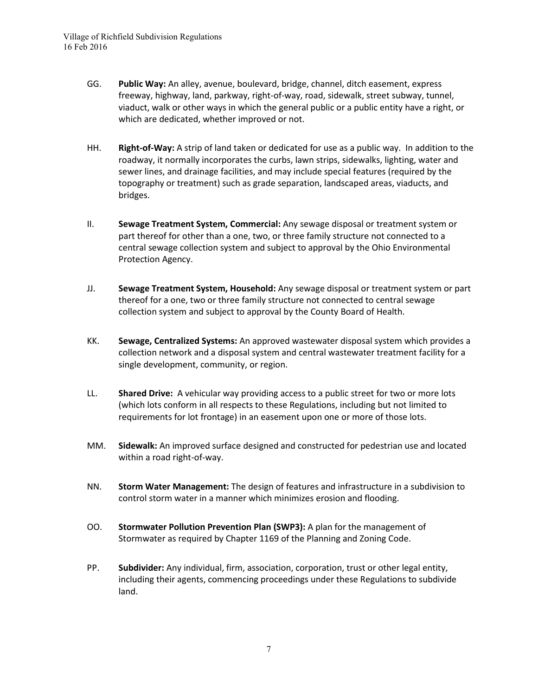- GG. **Public Way:** An alley, avenue, boulevard, bridge, channel, ditch easement, express freeway, highway, land, parkway, right-of-way, road, sidewalk, street subway, tunnel, viaduct, walk or other ways in which the general public or a public entity have a right, or which are dedicated, whether improved or not.
- HH. **Right-of-Way:** A strip of land taken or dedicated for use as a public way. In addition to the roadway, it normally incorporates the curbs, lawn strips, sidewalks, lighting, water and sewer lines, and drainage facilities, and may include special features (required by the topography or treatment) such as grade separation, landscaped areas, viaducts, and bridges.
- II. **Sewage Treatment System, Commercial:** Any sewage disposal or treatment system or part thereof for other than a one, two, or three family structure not connected to a central sewage collection system and subject to approval by the Ohio Environmental Protection Agency.
- JJ. **Sewage Treatment System, Household:** Any sewage disposal or treatment system or part thereof for a one, two or three family structure not connected to central sewage collection system and subject to approval by the County Board of Health.
- KK. **Sewage, Centralized Systems:** An approved wastewater disposal system which provides a collection network and a disposal system and central wastewater treatment facility for a single development, community, or region.
- LL. **Shared Drive:** A vehicular way providing access to a public street for two or more lots (which lots conform in all respects to these Regulations, including but not limited to requirements for lot frontage) in an easement upon one or more of those lots.
- MM. **Sidewalk:** An improved surface designed and constructed for pedestrian use and located within a road right-of-way.
- NN. **Storm Water Management:** The design of features and infrastructure in a subdivision to control storm water in a manner which minimizes erosion and flooding.
- OO. **Stormwater Pollution Prevention Plan (SWP3):** A plan for the management of Stormwater as required by Chapter 1169 of the Planning and Zoning Code.
- PP. **Subdivider:** Any individual, firm, association, corporation, trust or other legal entity, including their agents, commencing proceedings under these Regulations to subdivide land.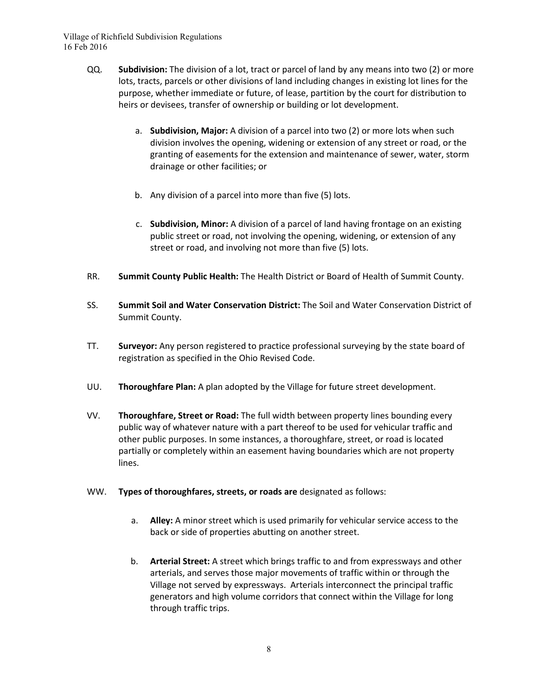- QQ. **Subdivision:** The division of a lot, tract or parcel of land by any means into two (2) or more lots, tracts, parcels or other divisions of land including changes in existing lot lines for the purpose, whether immediate or future, of lease, partition by the court for distribution to heirs or devisees, transfer of ownership or building or lot development.
	- a. **Subdivision, Major:** A division of a parcel into two (2) or more lots when such division involves the opening, widening or extension of any street or road, or the granting of easements for the extension and maintenance of sewer, water, storm drainage or other facilities; or
	- b. Any division of a parcel into more than five (5) lots.
	- c. **Subdivision, Minor:** A division of a parcel of land having frontage on an existing public street or road, not involving the opening, widening, or extension of any street or road, and involving not more than five (5) lots.
- RR. **Summit County Public Health:** The Health District or Board of Health of Summit County.
- SS. **Summit Soil and Water Conservation District:** The Soil and Water Conservation District of Summit County.
- TT. **Surveyor:** Any person registered to practice professional surveying by the state board of registration as specified in the Ohio Revised Code.
- UU. **Thoroughfare Plan:** A plan adopted by the Village for future street development.
- VV. **Thoroughfare, Street or Road:** The full width between property lines bounding every public way of whatever nature with a part thereof to be used for vehicular traffic and other public purposes. In some instances, a thoroughfare, street, or road is located partially or completely within an easement having boundaries which are not property lines.
- WW. **Types of thoroughfares, streets, or roads are** designated as follows:
	- a. **Alley:** A minor street which is used primarily for vehicular service access to the back or side of properties abutting on another street.
	- b. **Arterial Street:** A street which brings traffic to and from expressways and other arterials, and serves those major movements of traffic within or through the Village not served by expressways. Arterials interconnect the principal traffic generators and high volume corridors that connect within the Village for long through traffic trips.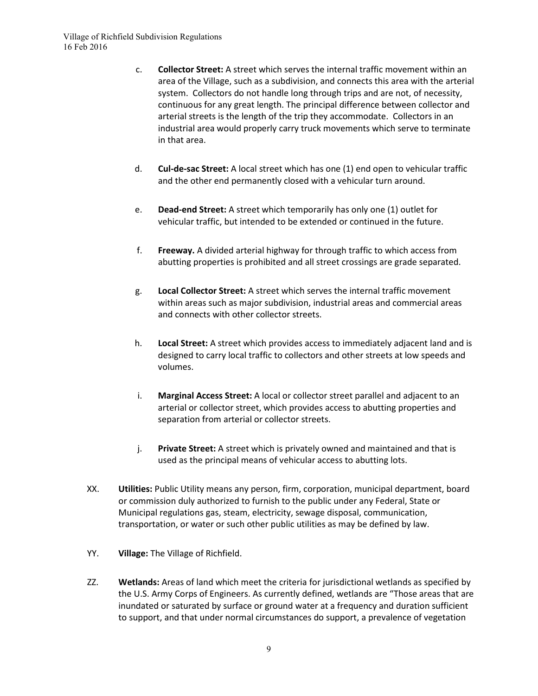- c. **Collector Street:** A street which serves the internal traffic movement within an area of the Village, such as a subdivision, and connects this area with the arterial system. Collectors do not handle long through trips and are not, of necessity, continuous for any great length. The principal difference between collector and arterial streets is the length of the trip they accommodate. Collectors in an industrial area would properly carry truck movements which serve to terminate in that area.
- d. **Cul-de-sac Street:** A local street which has one (1) end open to vehicular traffic and the other end permanently closed with a vehicular turn around.
- e. **Dead-end Street:** A street which temporarily has only one (1) outlet for vehicular traffic, but intended to be extended or continued in the future.
- f. **Freeway.** A divided arterial highway for through traffic to which access from abutting properties is prohibited and all street crossings are grade separated.
- g. **Local Collector Street:** A street which serves the internal traffic movement within areas such as major subdivision, industrial areas and commercial areas and connects with other collector streets.
- h. **Local Street:** A street which provides access to immediately adjacent land and is designed to carry local traffic to collectors and other streets at low speeds and volumes.
- i. **Marginal Access Street:** A local or collector street parallel and adjacent to an arterial or collector street, which provides access to abutting properties and separation from arterial or collector streets.
- j. **Private Street:** A street which is privately owned and maintained and that is used as the principal means of vehicular access to abutting lots.
- XX. **Utilities:** Public Utility means any person, firm, corporation, municipal department, board or commission duly authorized to furnish to the public under any Federal, State or Municipal regulations gas, steam, electricity, sewage disposal, communication, transportation, or water or such other public utilities as may be defined by law.
- YY. **Village:** The Village of Richfield.
- ZZ. **Wetlands:** Areas of land which meet the criteria for jurisdictional wetlands as specified by the U.S. Army Corps of Engineers. As currently defined, wetlands are "Those areas that are inundated or saturated by surface or ground water at a frequency and duration sufficient to support, and that under normal circumstances do support, a prevalence of vegetation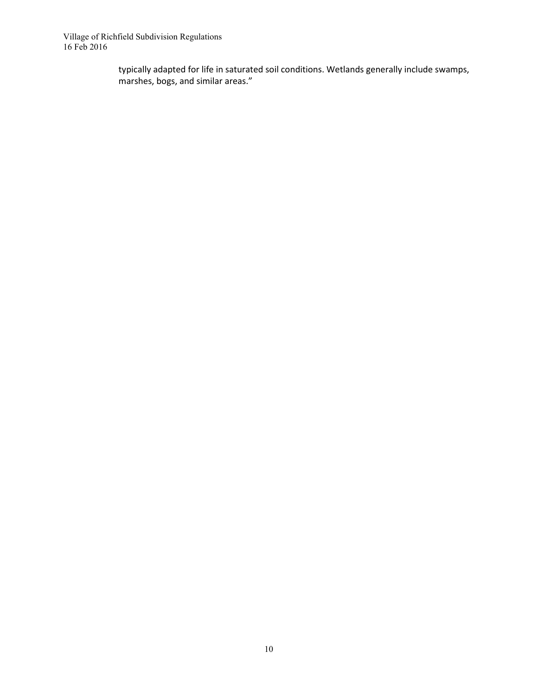> typically adapted for life in saturated soil conditions. Wetlands generally include swamps, marshes, bogs, and similar areas."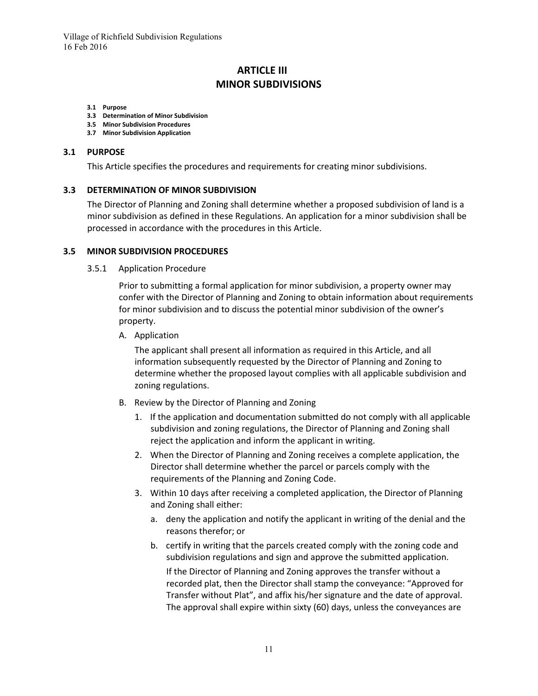# **ARTICLE III MINOR SUBDIVISIONS**

#### **3.1 Purpose**

- **3.3 Determination of Minor Subdivision**
- **3.5 Minor Subdivision Procedures**
- **3.7 Minor Subdivision Application**

#### **3.1 PURPOSE**

This Article specifies the procedures and requirements for creating minor subdivisions.

#### **3.3 DETERMINATION OF MINOR SUBDIVISION**

The Director of Planning and Zoning shall determine whether a proposed subdivision of land is a minor subdivision as defined in these Regulations. An application for a minor subdivision shall be processed in accordance with the procedures in this Article.

#### **3.5 MINOR SUBDIVISION PROCEDURES**

3.5.1 Application Procedure

Prior to submitting a formal application for minor subdivision, a property owner may confer with the Director of Planning and Zoning to obtain information about requirements for minor subdivision and to discuss the potential minor subdivision of the owner's property.

A. Application

The applicant shall present all information as required in this Article, and all information subsequently requested by the Director of Planning and Zoning to determine whether the proposed layout complies with all applicable subdivision and zoning regulations.

- B. Review by the Director of Planning and Zoning
	- 1. If the application and documentation submitted do not comply with all applicable subdivision and zoning regulations, the Director of Planning and Zoning shall reject the application and inform the applicant in writing.
	- 2. When the Director of Planning and Zoning receives a complete application, the Director shall determine whether the parcel or parcels comply with the requirements of the Planning and Zoning Code.
	- 3. Within 10 days after receiving a completed application, the Director of Planning and Zoning shall either:
		- a. deny the application and notify the applicant in writing of the denial and the reasons therefor; or
		- b. certify in writing that the parcels created comply with the zoning code and subdivision regulations and sign and approve the submitted application.

If the Director of Planning and Zoning approves the transfer without a recorded plat, then the Director shall stamp the conveyance: "Approved for Transfer without Plat", and affix his/her signature and the date of approval. The approval shall expire within sixty (60) days, unless the conveyances are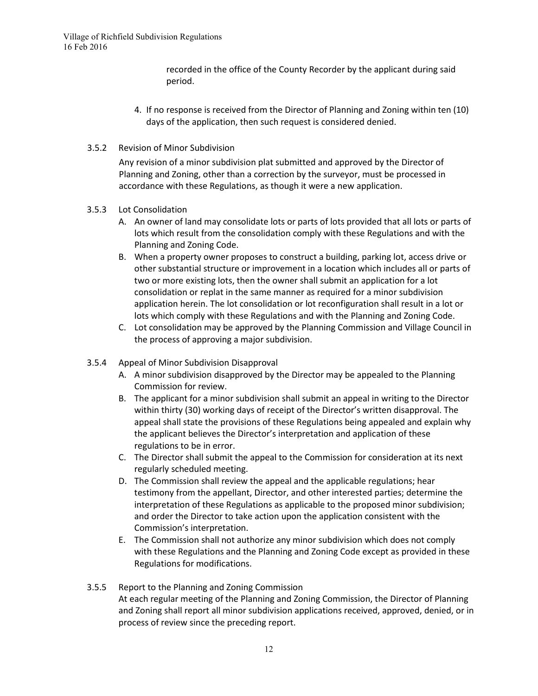recorded in the office of the County Recorder by the applicant during said period.

- 4. If no response is received from the Director of Planning and Zoning within ten (10) days of the application, then such request is considered denied.
- 3.5.2 Revision of Minor Subdivision

Any revision of a minor subdivision plat submitted and approved by the Director of Planning and Zoning, other than a correction by the surveyor, must be processed in accordance with these Regulations, as though it were a new application.

#### 3.5.3 Lot Consolidation

- A. An owner of land may consolidate lots or parts of lots provided that all lots or parts of lots which result from the consolidation comply with these Regulations and with the Planning and Zoning Code.
- B. When a property owner proposes to construct a building, parking lot, access drive or other substantial structure or improvement in a location which includes all or parts of two or more existing lots, then the owner shall submit an application for a lot consolidation or replat in the same manner as required for a minor subdivision application herein. The lot consolidation or lot reconfiguration shall result in a lot or lots which comply with these Regulations and with the Planning and Zoning Code.
- C. Lot consolidation may be approved by the Planning Commission and Village Council in the process of approving a major subdivision.
- 3.5.4 Appeal of Minor Subdivision Disapproval
	- A. A minor subdivision disapproved by the Director may be appealed to the Planning Commission for review.
	- B. The applicant for a minor subdivision shall submit an appeal in writing to the Director within thirty (30) working days of receipt of the Director's written disapproval. The appeal shall state the provisions of these Regulations being appealed and explain why the applicant believes the Director's interpretation and application of these regulations to be in error.
	- C. The Director shall submit the appeal to the Commission for consideration at its next regularly scheduled meeting.
	- D. The Commission shall review the appeal and the applicable regulations; hear testimony from the appellant, Director, and other interested parties; determine the interpretation of these Regulations as applicable to the proposed minor subdivision; and order the Director to take action upon the application consistent with the Commission's interpretation.
	- E. The Commission shall not authorize any minor subdivision which does not comply with these Regulations and the Planning and Zoning Code except as provided in these Regulations for modifications.

#### 3.5.5 Report to the Planning and Zoning Commission At each regular meeting of the Planning and Zoning Commission, the Director of Planning and Zoning shall report all minor subdivision applications received, approved, denied, or in process of review since the preceding report.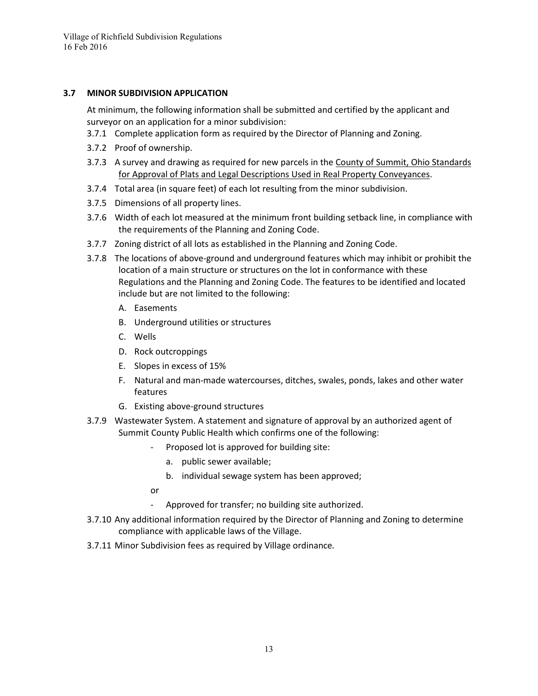#### **3.7 MINOR SUBDIVISION APPLICATION**

At minimum, the following information shall be submitted and certified by the applicant and surveyor on an application for a minor subdivision:

- 3.7.1 Complete application form as required by the Director of Planning and Zoning.
- 3.7.2 Proof of ownership.
- 3.7.3 A survey and drawing as required for new parcels in the County of Summit, Ohio Standards for Approval of Plats and Legal Descriptions Used in Real Property Conveyances.
- 3.7.4 Total area (in square feet) of each lot resulting from the minor subdivision.
- 3.7.5 Dimensions of all property lines.
- 3.7.6 Width of each lot measured at the minimum front building setback line, in compliance with the requirements of the Planning and Zoning Code.
- 3.7.7 Zoning district of all lots as established in the Planning and Zoning Code.
- 3.7.8 The locations of above-ground and underground features which may inhibit or prohibit the location of a main structure or structures on the lot in conformance with these Regulations and the Planning and Zoning Code. The features to be identified and located include but are not limited to the following:
	- A. Easements
	- B. Underground utilities or structures
	- C. Wells
	- D. Rock outcroppings
	- E. Slopes in excess of 15%
	- F. Natural and man-made watercourses, ditches, swales, ponds, lakes and other water features
	- G. Existing above-ground structures
- 3.7.9 Wastewater System. A statement and signature of approval by an authorized agent of Summit County Public Health which confirms one of the following:
	- Proposed lot is approved for building site:
		- a. public sewer available;
		- b. individual sewage system has been approved;
	- or
	- Approved for transfer; no building site authorized.
- 3.7.10 Any additional information required by the Director of Planning and Zoning to determine compliance with applicable laws of the Village.
- 3.7.11 Minor Subdivision fees as required by Village ordinance*.*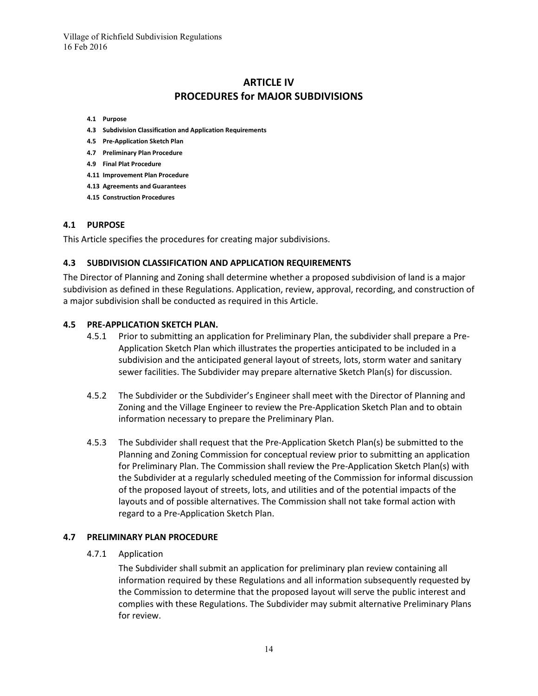# **ARTICLE IV PROCEDURES for MAJOR SUBDIVISIONS**

- **4.1 Purpose**
- **4.3 Subdivision Classification and Application Requirements**
- **4.5 Pre-Application Sketch Plan**
- **4.7 Preliminary Plan Procedure**
- **4.9 Final Plat Procedure**
- **4.11 Improvement Plan Procedure**
- **4.13 Agreements and Guarantees**
- **4.15 Construction Procedures**

#### **4.1 PURPOSE**

This Article specifies the procedures for creating major subdivisions.

#### **4.3 SUBDIVISION CLASSIFICATION AND APPLICATION REQUIREMENTS**

The Director of Planning and Zoning shall determine whether a proposed subdivision of land is a major subdivision as defined in these Regulations. Application, review, approval, recording, and construction of a major subdivision shall be conducted as required in this Article.

#### **4.5 PRE-APPLICATION SKETCH PLAN.**

- 4.5.1 Prior to submitting an application for Preliminary Plan, the subdivider shall prepare a Pre-Application Sketch Plan which illustrates the properties anticipated to be included in a subdivision and the anticipated general layout of streets, lots, storm water and sanitary sewer facilities. The Subdivider may prepare alternative Sketch Plan(s) for discussion.
- 4.5.2 The Subdivider or the Subdivider's Engineer shall meet with the Director of Planning and Zoning and the Village Engineer to review the Pre-Application Sketch Plan and to obtain information necessary to prepare the Preliminary Plan.
- 4.5.3 The Subdivider shall request that the Pre-Application Sketch Plan(s) be submitted to the Planning and Zoning Commission for conceptual review prior to submitting an application for Preliminary Plan. The Commission shall review the Pre-Application Sketch Plan(s) with the Subdivider at a regularly scheduled meeting of the Commission for informal discussion of the proposed layout of streets, lots, and utilities and of the potential impacts of the layouts and of possible alternatives. The Commission shall not take formal action with regard to a Pre-Application Sketch Plan.

#### **4.7 PRELIMINARY PLAN PROCEDURE**

4.7.1 Application

The Subdivider shall submit an application for preliminary plan review containing all information required by these Regulations and all information subsequently requested by the Commission to determine that the proposed layout will serve the public interest and complies with these Regulations. The Subdivider may submit alternative Preliminary Plans for review.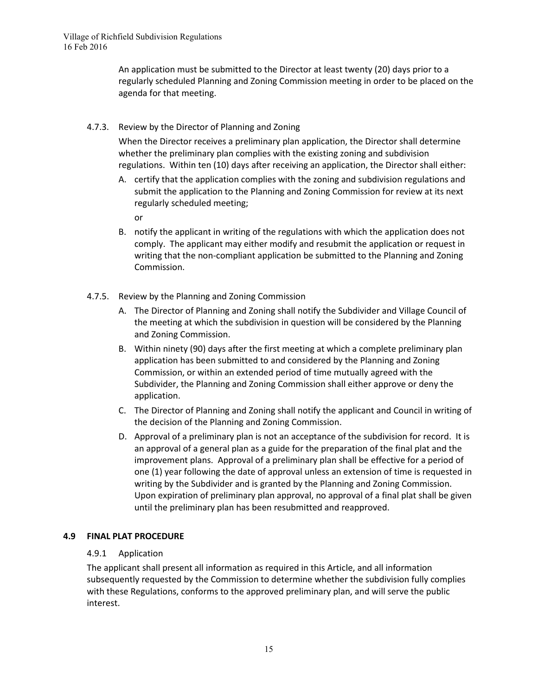An application must be submitted to the Director at least twenty (20) days prior to a regularly scheduled Planning and Zoning Commission meeting in order to be placed on the agenda for that meeting.

4.7.3. Review by the Director of Planning and Zoning

When the Director receives a preliminary plan application, the Director shall determine whether the preliminary plan complies with the existing zoning and subdivision regulations. Within ten (10) days after receiving an application, the Director shall either:

- A. certify that the application complies with the zoning and subdivision regulations and submit the application to the Planning and Zoning Commission for review at its next regularly scheduled meeting;
	- or
- B. notify the applicant in writing of the regulations with which the application does not comply. The applicant may either modify and resubmit the application or request in writing that the non-compliant application be submitted to the Planning and Zoning Commission.
- 4.7.5. Review by the Planning and Zoning Commission
	- A. The Director of Planning and Zoning shall notify the Subdivider and Village Council of the meeting at which the subdivision in question will be considered by the Planning and Zoning Commission.
	- B. Within ninety (90) days after the first meeting at which a complete preliminary plan application has been submitted to and considered by the Planning and Zoning Commission, or within an extended period of time mutually agreed with the Subdivider, the Planning and Zoning Commission shall either approve or deny the application.
	- C. The Director of Planning and Zoning shall notify the applicant and Council in writing of the decision of the Planning and Zoning Commission.
	- D. Approval of a preliminary plan is not an acceptance of the subdivision for record. It is an approval of a general plan as a guide for the preparation of the final plat and the improvement plans. Approval of a preliminary plan shall be effective for a period of one (1) year following the date of approval unless an extension of time is requested in writing by the Subdivider and is granted by the Planning and Zoning Commission. Upon expiration of preliminary plan approval, no approval of a final plat shall be given until the preliminary plan has been resubmitted and reapproved.

# **4.9 FINAL PLAT PROCEDURE**

# 4.9.1 Application

The applicant shall present all information as required in this Article, and all information subsequently requested by the Commission to determine whether the subdivision fully complies with these Regulations, conforms to the approved preliminary plan, and will serve the public interest.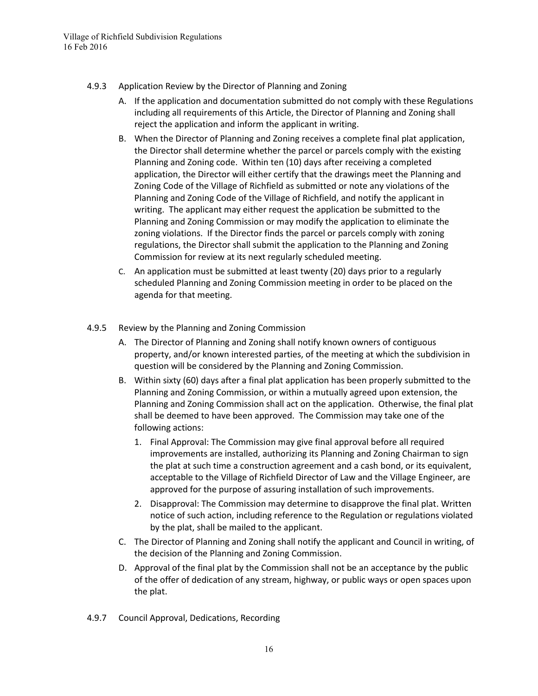- 4.9.3 Application Review by the Director of Planning and Zoning
	- A. If the application and documentation submitted do not comply with these Regulations including all requirements of this Article, the Director of Planning and Zoning shall reject the application and inform the applicant in writing.
	- B. When the Director of Planning and Zoning receives a complete final plat application, the Director shall determine whether the parcel or parcels comply with the existing Planning and Zoning code. Within ten (10) days after receiving a completed application, the Director will either certify that the drawings meet the Planning and Zoning Code of the Village of Richfield as submitted or note any violations of the Planning and Zoning Code of the Village of Richfield, and notify the applicant in writing. The applicant may either request the application be submitted to the Planning and Zoning Commission or may modify the application to eliminate the zoning violations. If the Director finds the parcel or parcels comply with zoning regulations, the Director shall submit the application to the Planning and Zoning Commission for review at its next regularly scheduled meeting.
	- C. An application must be submitted at least twenty (20) days prior to a regularly scheduled Planning and Zoning Commission meeting in order to be placed on the agenda for that meeting.
- 4.9.5 Review by the Planning and Zoning Commission
	- A. The Director of Planning and Zoning shall notify known owners of contiguous property, and/or known interested parties, of the meeting at which the subdivision in question will be considered by the Planning and Zoning Commission.
	- B. Within sixty (60) days after a final plat application has been properly submitted to the Planning and Zoning Commission, or within a mutually agreed upon extension, the Planning and Zoning Commission shall act on the application. Otherwise, the final plat shall be deemed to have been approved. The Commission may take one of the following actions:
		- 1. Final Approval: The Commission may give final approval before all required improvements are installed, authorizing its Planning and Zoning Chairman to sign the plat at such time a construction agreement and a cash bond, or its equivalent, acceptable to the Village of Richfield Director of Law and the Village Engineer, are approved for the purpose of assuring installation of such improvements.
		- 2. Disapproval: The Commission may determine to disapprove the final plat. Written notice of such action, including reference to the Regulation or regulations violated by the plat, shall be mailed to the applicant.
	- C. The Director of Planning and Zoning shall notify the applicant and Council in writing, of the decision of the Planning and Zoning Commission.
	- D. Approval of the final plat by the Commission shall not be an acceptance by the public of the offer of dedication of any stream, highway, or public ways or open spaces upon the plat.
- 4.9.7 Council Approval, Dedications, Recording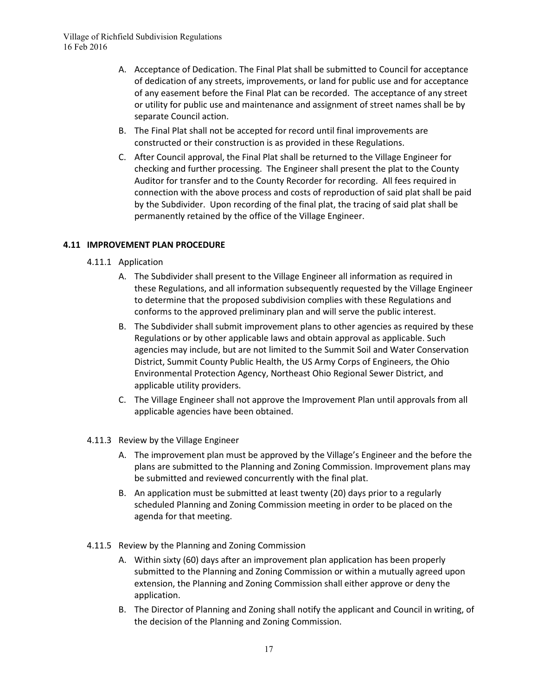- A. Acceptance of Dedication. The Final Plat shall be submitted to Council for acceptance of dedication of any streets, improvements, or land for public use and for acceptance of any easement before the Final Plat can be recorded. The acceptance of any street or utility for public use and maintenance and assignment of street names shall be by separate Council action.
- B. The Final Plat shall not be accepted for record until final improvements are constructed or their construction is as provided in these Regulations.
- C. After Council approval, the Final Plat shall be returned to the Village Engineer for checking and further processing. The Engineer shall present the plat to the County Auditor for transfer and to the County Recorder for recording. All fees required in connection with the above process and costs of reproduction of said plat shall be paid by the Subdivider. Upon recording of the final plat, the tracing of said plat shall be permanently retained by the office of the Village Engineer.

# **4.11 IMPROVEMENT PLAN PROCEDURE**

- 4.11.1 Application
	- A. The Subdivider shall present to the Village Engineer all information as required in these Regulations, and all information subsequently requested by the Village Engineer to determine that the proposed subdivision complies with these Regulations and conforms to the approved preliminary plan and will serve the public interest.
	- B. The Subdivider shall submit improvement plans to other agencies as required by these Regulations or by other applicable laws and obtain approval as applicable. Such agencies may include, but are not limited to the Summit Soil and Water Conservation District, Summit County Public Health, the US Army Corps of Engineers, the Ohio Environmental Protection Agency, Northeast Ohio Regional Sewer District, and applicable utility providers.
	- C. The Village Engineer shall not approve the Improvement Plan until approvals from all applicable agencies have been obtained.
- 4.11.3 Review by the Village Engineer
	- A. The improvement plan must be approved by the Village's Engineer and the before the plans are submitted to the Planning and Zoning Commission. Improvement plans may be submitted and reviewed concurrently with the final plat.
	- B. An application must be submitted at least twenty (20) days prior to a regularly scheduled Planning and Zoning Commission meeting in order to be placed on the agenda for that meeting.
- 4.11.5 Review by the Planning and Zoning Commission
	- A. Within sixty (60) days after an improvement plan application has been properly submitted to the Planning and Zoning Commission or within a mutually agreed upon extension, the Planning and Zoning Commission shall either approve or deny the application.
	- B. The Director of Planning and Zoning shall notify the applicant and Council in writing, of the decision of the Planning and Zoning Commission.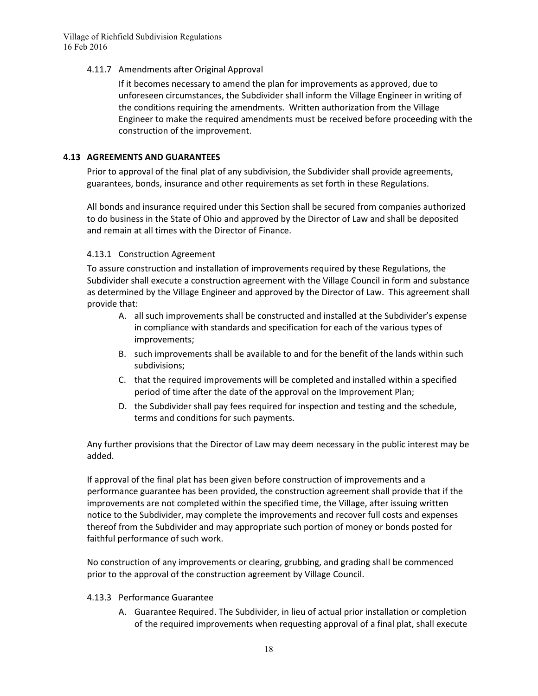#### 4.11.7 Amendments after Original Approval

If it becomes necessary to amend the plan for improvements as approved, due to unforeseen circumstances, the Subdivider shall inform the Village Engineer in writing of the conditions requiring the amendments. Written authorization from the Village Engineer to make the required amendments must be received before proceeding with the construction of the improvement.

#### **4.13 AGREEMENTS AND GUARANTEES**

Prior to approval of the final plat of any subdivision, the Subdivider shall provide agreements, guarantees, bonds, insurance and other requirements as set forth in these Regulations.

All bonds and insurance required under this Section shall be secured from companies authorized to do business in the State of Ohio and approved by the Director of Law and shall be deposited and remain at all times with the Director of Finance.

#### 4.13.1 Construction Agreement

To assure construction and installation of improvements required by these Regulations, the Subdivider shall execute a construction agreement with the Village Council in form and substance as determined by the Village Engineer and approved by the Director of Law. This agreement shall provide that:

- A. all such improvements shall be constructed and installed at the Subdivider's expense in compliance with standards and specification for each of the various types of improvements;
- B. such improvements shall be available to and for the benefit of the lands within such subdivisions;
- C. that the required improvements will be completed and installed within a specified period of time after the date of the approval on the Improvement Plan;
- D. the Subdivider shall pay fees required for inspection and testing and the schedule, terms and conditions for such payments.

Any further provisions that the Director of Law may deem necessary in the public interest may be added.

If approval of the final plat has been given before construction of improvements and a performance guarantee has been provided, the construction agreement shall provide that if the improvements are not completed within the specified time, the Village, after issuing written notice to the Subdivider, may complete the improvements and recover full costs and expenses thereof from the Subdivider and may appropriate such portion of money or bonds posted for faithful performance of such work.

No construction of any improvements or clearing, grubbing, and grading shall be commenced prior to the approval of the construction agreement by Village Council.

#### 4.13.3 Performance Guarantee

A. Guarantee Required. The Subdivider, in lieu of actual prior installation or completion of the required improvements when requesting approval of a final plat, shall execute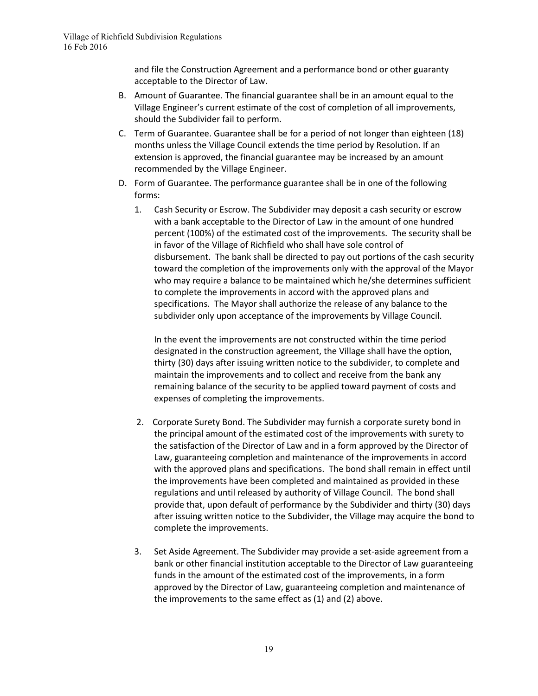and file the Construction Agreement and a performance bond or other guaranty acceptable to the Director of Law.

- B. Amount of Guarantee. The financial guarantee shall be in an amount equal to the Village Engineer's current estimate of the cost of completion of all improvements, should the Subdivider fail to perform.
- C. Term of Guarantee. Guarantee shall be for a period of not longer than eighteen (18) months unless the Village Council extends the time period by Resolution. If an extension is approved, the financial guarantee may be increased by an amount recommended by the Village Engineer.
- D. Form of Guarantee. The performance guarantee shall be in one of the following forms:
	- 1. Cash Security or Escrow. The Subdivider may deposit a cash security or escrow with a bank acceptable to the Director of Law in the amount of one hundred percent (100%) of the estimated cost of the improvements. The security shall be in favor of the Village of Richfield who shall have sole control of disbursement. The bank shall be directed to pay out portions of the cash security toward the completion of the improvements only with the approval of the Mayor who may require a balance to be maintained which he/she determines sufficient to complete the improvements in accord with the approved plans and specifications. The Mayor shall authorize the release of any balance to the subdivider only upon acceptance of the improvements by Village Council.

In the event the improvements are not constructed within the time period designated in the construction agreement, the Village shall have the option, thirty (30) days after issuing written notice to the subdivider, to complete and maintain the improvements and to collect and receive from the bank any remaining balance of the security to be applied toward payment of costs and expenses of completing the improvements.

- 2. Corporate Surety Bond. The Subdivider may furnish a corporate surety bond in the principal amount of the estimated cost of the improvements with surety to the satisfaction of the Director of Law and in a form approved by the Director of Law, guaranteeing completion and maintenance of the improvements in accord with the approved plans and specifications. The bond shall remain in effect until the improvements have been completed and maintained as provided in these regulations and until released by authority of Village Council. The bond shall provide that, upon default of performance by the Subdivider and thirty (30) days after issuing written notice to the Subdivider, the Village may acquire the bond to complete the improvements.
- 3. Set Aside Agreement. The Subdivider may provide a set-aside agreement from a bank or other financial institution acceptable to the Director of Law guaranteeing funds in the amount of the estimated cost of the improvements, in a form approved by the Director of Law, guaranteeing completion and maintenance of the improvements to the same effect as (1) and (2) above.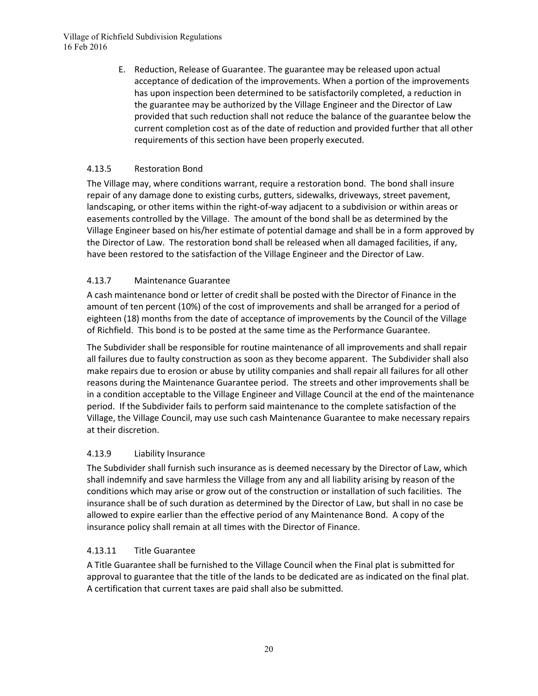E. Reduction, Release of Guarantee. The guarantee may be released upon actual acceptance of dedication of the improvements. When a portion of the improvements has upon inspection been determined to be satisfactorily completed, a reduction in the guarantee may be authorized by the Village Engineer and the Director of Law provided that such reduction shall not reduce the balance of the guarantee below the current completion cost as of the date of reduction and provided further that all other requirements of this section have been properly executed.

# 4.13.5 Restoration Bond

The Village may, where conditions warrant, require a restoration bond. The bond shall insure repair of any damage done to existing curbs, gutters, sidewalks, driveways, street pavement, landscaping, or other items within the right-of-way adjacent to a subdivision or within areas or easements controlled by the Village. The amount of the bond shall be as determined by the Village Engineer based on his/her estimate of potential damage and shall be in a form approved by the Director of Law. The restoration bond shall be released when all damaged facilities, if any, have been restored to the satisfaction of the Village Engineer and the Director of Law.

# 4.13.7 Maintenance Guarantee

A cash maintenance bond or letter of credit shall be posted with the Director of Finance in the amount of ten percent (10%) of the cost of improvements and shall be arranged for a period of eighteen (18) months from the date of acceptance of improvements by the Council of the Village of Richfield. This bond is to be posted at the same time as the Performance Guarantee.

The Subdivider shall be responsible for routine maintenance of all improvements and shall repair all failures due to faulty construction as soon as they become apparent. The Subdivider shall also make repairs due to erosion or abuse by utility companies and shall repair all failures for all other reasons during the Maintenance Guarantee period. The streets and other improvements shall be in a condition acceptable to the Village Engineer and Village Council at the end of the maintenance period. If the Subdivider fails to perform said maintenance to the complete satisfaction of the Village, the Village Council, may use such cash Maintenance Guarantee to make necessary repairs at their discretion.

# 4.13.9 Liability Insurance

The Subdivider shall furnish such insurance as is deemed necessary by the Director of Law, which shall indemnify and save harmless the Village from any and all liability arising by reason of the conditions which may arise or grow out of the construction or installation of such facilities. The insurance shall be of such duration as determined by the Director of Law, but shall in no case be allowed to expire earlier than the effective period of any Maintenance Bond. A copy of the insurance policy shall remain at all times with the Director of Finance.

# 4.13.11 Title Guarantee

A Title Guarantee shall be furnished to the Village Council when the Final plat is submitted for approval to guarantee that the title of the lands to be dedicated are as indicated on the final plat. A certification that current taxes are paid shall also be submitted.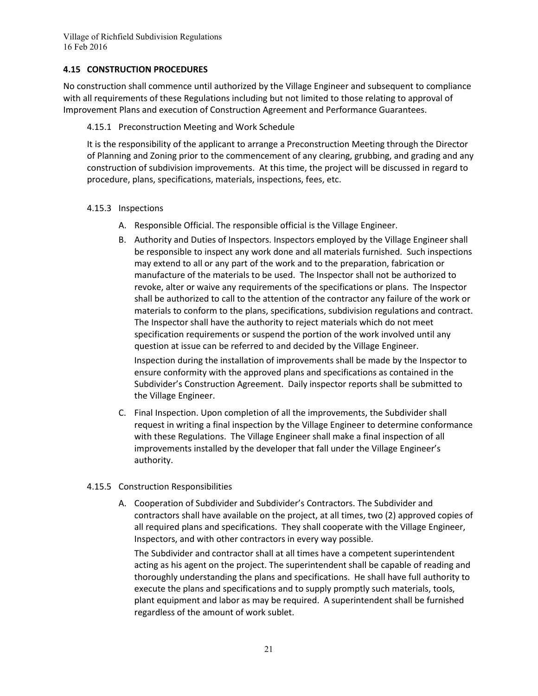#### **4.15 CONSTRUCTION PROCEDURES**

No construction shall commence until authorized by the Village Engineer and subsequent to compliance with all requirements of these Regulations including but not limited to those relating to approval of Improvement Plans and execution of Construction Agreement and Performance Guarantees.

#### 4.15.1 Preconstruction Meeting and Work Schedule

It is the responsibility of the applicant to arrange a Preconstruction Meeting through the Director of Planning and Zoning prior to the commencement of any clearing, grubbing, and grading and any construction of subdivision improvements. At this time, the project will be discussed in regard to procedure, plans, specifications, materials, inspections, fees, etc.

#### 4.15.3 Inspections

- A. Responsible Official. The responsible official is the Village Engineer.
- B. Authority and Duties of Inspectors. Inspectors employed by the Village Engineer shall be responsible to inspect any work done and all materials furnished. Such inspections may extend to all or any part of the work and to the preparation, fabrication or manufacture of the materials to be used. The Inspector shall not be authorized to revoke, alter or waive any requirements of the specifications or plans. The Inspector shall be authorized to call to the attention of the contractor any failure of the work or materials to conform to the plans, specifications, subdivision regulations and contract. The Inspector shall have the authority to reject materials which do not meet specification requirements or suspend the portion of the work involved until any question at issue can be referred to and decided by the Village Engineer.

Inspection during the installation of improvements shall be made by the Inspector to ensure conformity with the approved plans and specifications as contained in the Subdivider's Construction Agreement. Daily inspector reports shall be submitted to the Village Engineer.

C. Final Inspection. Upon completion of all the improvements, the Subdivider shall request in writing a final inspection by the Village Engineer to determine conformance with these Regulations. The Village Engineer shall make a final inspection of all improvements installed by the developer that fall under the Village Engineer's authority.

#### 4.15.5 Construction Responsibilities

A. Cooperation of Subdivider and Subdivider's Contractors. The Subdivider and contractors shall have available on the project, at all times, two (2) approved copies of all required plans and specifications. They shall cooperate with the Village Engineer, Inspectors, and with other contractors in every way possible.

The Subdivider and contractor shall at all times have a competent superintendent acting as his agent on the project. The superintendent shall be capable of reading and thoroughly understanding the plans and specifications. He shall have full authority to execute the plans and specifications and to supply promptly such materials, tools, plant equipment and labor as may be required. A superintendent shall be furnished regardless of the amount of work sublet.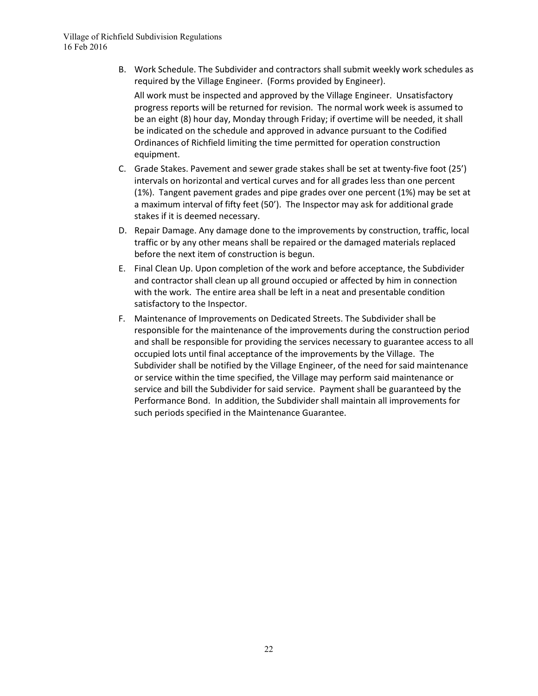B. Work Schedule. The Subdivider and contractors shall submit weekly work schedules as required by the Village Engineer. (Forms provided by Engineer).

All work must be inspected and approved by the Village Engineer. Unsatisfactory progress reports will be returned for revision. The normal work week is assumed to be an eight (8) hour day, Monday through Friday; if overtime will be needed, it shall be indicated on the schedule and approved in advance pursuant to the Codified Ordinances of Richfield limiting the time permitted for operation construction equipment.

- C. Grade Stakes. Pavement and sewer grade stakes shall be set at twenty-five foot (25') intervals on horizontal and vertical curves and for all grades less than one percent (1%). Tangent pavement grades and pipe grades over one percent (1%) may be set at a maximum interval of fifty feet (50'). The Inspector may ask for additional grade stakes if it is deemed necessary.
- D. Repair Damage. Any damage done to the improvements by construction, traffic, local traffic or by any other means shall be repaired or the damaged materials replaced before the next item of construction is begun.
- E. Final Clean Up. Upon completion of the work and before acceptance, the Subdivider and contractor shall clean up all ground occupied or affected by him in connection with the work. The entire area shall be left in a neat and presentable condition satisfactory to the Inspector.
- F. Maintenance of Improvements on Dedicated Streets. The Subdivider shall be responsible for the maintenance of the improvements during the construction period and shall be responsible for providing the services necessary to guarantee access to all occupied lots until final acceptance of the improvements by the Village. The Subdivider shall be notified by the Village Engineer, of the need for said maintenance or service within the time specified, the Village may perform said maintenance or service and bill the Subdivider for said service. Payment shall be guaranteed by the Performance Bond. In addition, the Subdivider shall maintain all improvements for such periods specified in the Maintenance Guarantee.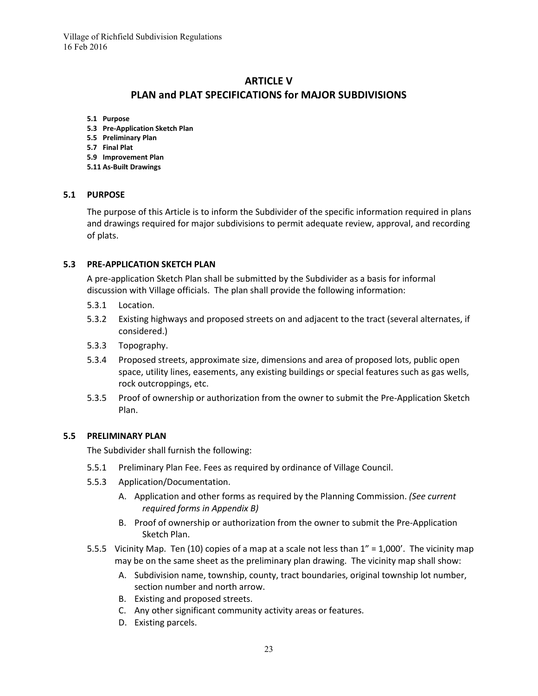# **ARTICLE V PLAN and PLAT SPECIFICATIONS for MAJOR SUBDIVISIONS**

- **5.1 Purpose**
- **5.3 Pre-Application Sketch Plan**
- **5.5 Preliminary Plan**
- **5.7 Final Plat**
- **5.9 Improvement Plan**
- **5.11 As-Built Drawings**

#### **5.1 PURPOSE**

The purpose of this Article is to inform the Subdivider of the specific information required in plans and drawings required for major subdivisions to permit adequate review, approval, and recording of plats.

#### **5.3 PRE-APPLICATION SKETCH PLAN**

A pre-application Sketch Plan shall be submitted by the Subdivider as a basis for informal discussion with Village officials. The plan shall provide the following information:

- 5.3.1 Location.
- 5.3.2 Existing highways and proposed streets on and adjacent to the tract (several alternates, if considered.)
- 5.3.3 Topography.
- 5.3.4 Proposed streets, approximate size, dimensions and area of proposed lots, public open space, utility lines, easements, any existing buildings or special features such as gas wells, rock outcroppings, etc.
- 5.3.5 Proof of ownership or authorization from the owner to submit the Pre-Application Sketch Plan.

#### **5.5 PRELIMINARY PLAN**

The Subdivider shall furnish the following:

- 5.5.1 Preliminary Plan Fee. Fees as required by ordinance of Village Council.
- 5.5.3 Application/Documentation.
	- A. Application and other forms as required by the Planning Commission. *(See current required forms in Appendix B)*
	- B. Proof of ownership or authorization from the owner to submit the Pre-Application Sketch Plan.
- 5.5.5 Vicinity Map. Ten (10) copies of a map at a scale not less than 1" = 1,000'. The vicinity map may be on the same sheet as the preliminary plan drawing. The vicinity map shall show:
	- A. Subdivision name, township, county, tract boundaries, original township lot number, section number and north arrow.
	- B. Existing and proposed streets.
	- C. Any other significant community activity areas or features.
	- D. Existing parcels.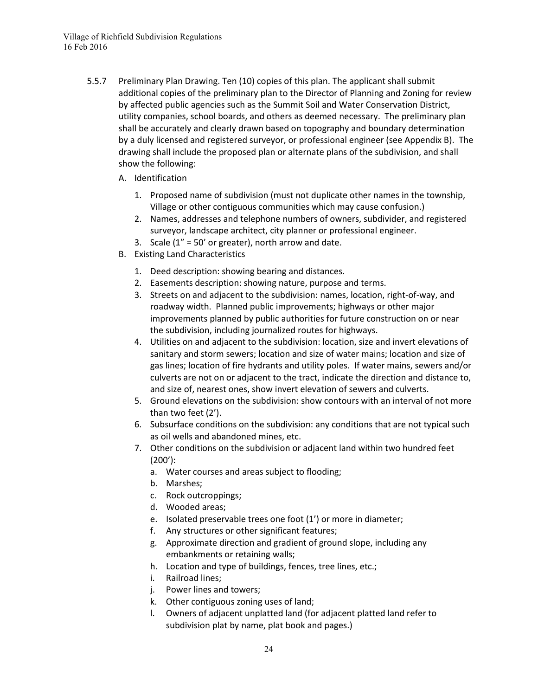- 5.5.7 Preliminary Plan Drawing. Ten (10) copies of this plan. The applicant shall submit additional copies of the preliminary plan to the Director of Planning and Zoning for review by affected public agencies such as the Summit Soil and Water Conservation District, utility companies, school boards, and others as deemed necessary. The preliminary plan shall be accurately and clearly drawn based on topography and boundary determination by a duly licensed and registered surveyor, or professional engineer (see Appendix B). The drawing shall include the proposed plan or alternate plans of the subdivision, and shall show the following:
	- A. Identification
		- 1. Proposed name of subdivision (must not duplicate other names in the township, Village or other contiguous communities which may cause confusion.)
		- 2. Names, addresses and telephone numbers of owners, subdivider, and registered surveyor, landscape architect, city planner or professional engineer.
		- 3. Scale  $(1'' = 50'$  or greater), north arrow and date.
	- B. Existing Land Characteristics
		- 1. Deed description: showing bearing and distances.
		- 2. Easements description: showing nature, purpose and terms.
		- 3. Streets on and adjacent to the subdivision: names, location, right-of-way, and roadway width. Planned public improvements; highways or other major improvements planned by public authorities for future construction on or near the subdivision, including journalized routes for highways.
		- 4. Utilities on and adjacent to the subdivision: location, size and invert elevations of sanitary and storm sewers; location and size of water mains; location and size of gas lines; location of fire hydrants and utility poles. If water mains, sewers and/or culverts are not on or adjacent to the tract, indicate the direction and distance to, and size of, nearest ones, show invert elevation of sewers and culverts.
		- 5. Ground elevations on the subdivision: show contours with an interval of not more than two feet (2').
		- 6. Subsurface conditions on the subdivision: any conditions that are not typical such as oil wells and abandoned mines, etc.
		- 7. Other conditions on the subdivision or adjacent land within two hundred feet (200'):
			- a. Water courses and areas subject to flooding;
			- b. Marshes;
			- c. Rock outcroppings;
			- d. Wooded areas;
			- e. Isolated preservable trees one foot (1') or more in diameter;
			- f. Any structures or other significant features;
			- g. Approximate direction and gradient of ground slope, including any embankments or retaining walls;
			- h. Location and type of buildings, fences, tree lines, etc.;
			- i. Railroad lines;
			- j. Power lines and towers;
			- k. Other contiguous zoning uses of land;
			- l. Owners of adjacent unplatted land (for adjacent platted land refer to subdivision plat by name, plat book and pages.)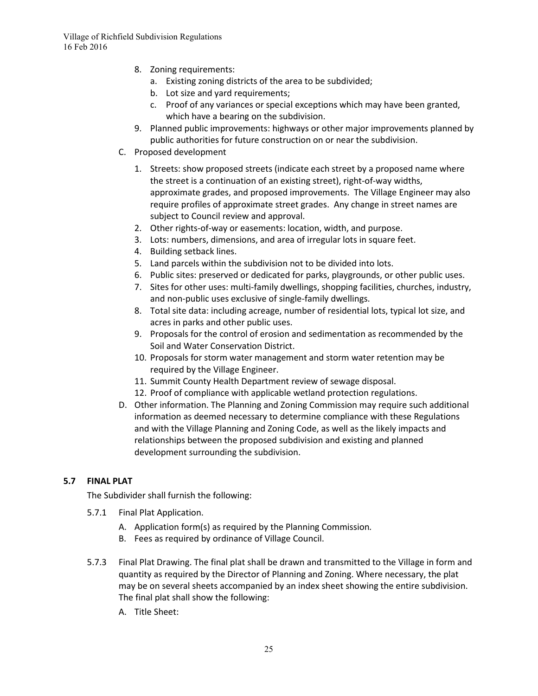- 8. Zoning requirements:
	- a. Existing zoning districts of the area to be subdivided;
	- b. Lot size and yard requirements;
	- c. Proof of any variances or special exceptions which may have been granted, which have a bearing on the subdivision.
- 9. Planned public improvements: highways or other major improvements planned by public authorities for future construction on or near the subdivision.
- C. Proposed development
	- 1. Streets: show proposed streets (indicate each street by a proposed name where the street is a continuation of an existing street), right-of-way widths, approximate grades, and proposed improvements. The Village Engineer may also require profiles of approximate street grades. Any change in street names are subject to Council review and approval.
	- 2. Other rights-of-way or easements: location, width, and purpose.
	- 3. Lots: numbers, dimensions, and area of irregular lots in square feet.
	- 4. Building setback lines.
	- 5. Land parcels within the subdivision not to be divided into lots.
	- 6. Public sites: preserved or dedicated for parks, playgrounds, or other public uses.
	- 7. Sites for other uses: multi-family dwellings, shopping facilities, churches, industry, and non-public uses exclusive of single-family dwellings.
	- 8. Total site data: including acreage, number of residential lots, typical lot size, and acres in parks and other public uses.
	- 9. Proposals for the control of erosion and sedimentation as recommended by the Soil and Water Conservation District.
	- 10. Proposals for storm water management and storm water retention may be required by the Village Engineer.
	- 11. Summit County Health Department review of sewage disposal.
	- 12. Proof of compliance with applicable wetland protection regulations.
- D. Other information. The Planning and Zoning Commission may require such additional information as deemed necessary to determine compliance with these Regulations and with the Village Planning and Zoning Code, as well as the likely impacts and relationships between the proposed subdivision and existing and planned development surrounding the subdivision.

# **5.7 FINAL PLAT**

The Subdivider shall furnish the following:

- 5.7.1 Final Plat Application.
	- A. Application form(s) as required by the Planning Commission*.*
	- B. Fees as required by ordinance of Village Council.
- 5.7.3 Final Plat Drawing. The final plat shall be drawn and transmitted to the Village in form and quantity as required by the Director of Planning and Zoning. Where necessary, the plat may be on several sheets accompanied by an index sheet showing the entire subdivision. The final plat shall show the following:
	- A. Title Sheet: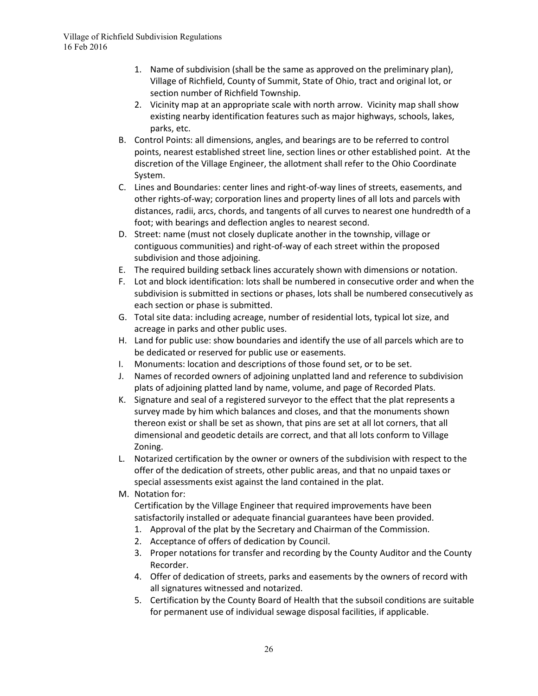- 1. Name of subdivision (shall be the same as approved on the preliminary plan), Village of Richfield, County of Summit, State of Ohio, tract and original lot, or section number of Richfield Township.
- 2. Vicinity map at an appropriate scale with north arrow. Vicinity map shall show existing nearby identification features such as major highways, schools, lakes, parks, etc.
- B. Control Points: all dimensions, angles, and bearings are to be referred to control points, nearest established street line, section lines or other established point. At the discretion of the Village Engineer, the allotment shall refer to the Ohio Coordinate System.
- C. Lines and Boundaries: center lines and right-of-way lines of streets, easements, and other rights-of-way; corporation lines and property lines of all lots and parcels with distances, radii, arcs, chords, and tangents of all curves to nearest one hundredth of a foot; with bearings and deflection angles to nearest second.
- D. Street: name (must not closely duplicate another in the township, village or contiguous communities) and right-of-way of each street within the proposed subdivision and those adjoining.
- E. The required building setback lines accurately shown with dimensions or notation.
- F. Lot and block identification: lots shall be numbered in consecutive order and when the subdivision is submitted in sections or phases, lots shall be numbered consecutively as each section or phase is submitted.
- G. Total site data: including acreage, number of residential lots, typical lot size, and acreage in parks and other public uses.
- H. Land for public use: show boundaries and identify the use of all parcels which are to be dedicated or reserved for public use or easements.
- I. Monuments: location and descriptions of those found set, or to be set.
- J. Names of recorded owners of adjoining unplatted land and reference to subdivision plats of adjoining platted land by name, volume, and page of Recorded Plats.
- K. Signature and seal of a registered surveyor to the effect that the plat represents a survey made by him which balances and closes, and that the monuments shown thereon exist or shall be set as shown, that pins are set at all lot corners, that all dimensional and geodetic details are correct, and that all lots conform to Village Zoning.
- L. Notarized certification by the owner or owners of the subdivision with respect to the offer of the dedication of streets, other public areas, and that no unpaid taxes or special assessments exist against the land contained in the plat.
- M. Notation for:

Certification by the Village Engineer that required improvements have been satisfactorily installed or adequate financial guarantees have been provided.

- 1. Approval of the plat by the Secretary and Chairman of the Commission.
- 2. Acceptance of offers of dedication by Council.
- 3. Proper notations for transfer and recording by the County Auditor and the County Recorder.
- 4. Offer of dedication of streets, parks and easements by the owners of record with all signatures witnessed and notarized.
- 5. Certification by the County Board of Health that the subsoil conditions are suitable for permanent use of individual sewage disposal facilities, if applicable.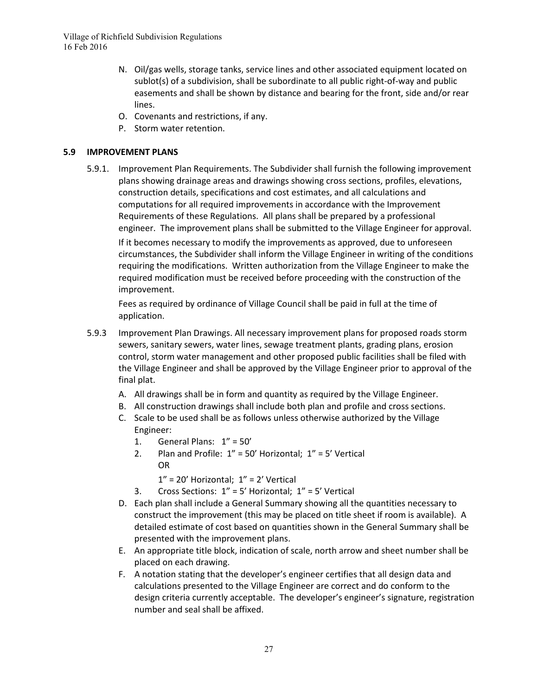- N. Oil/gas wells, storage tanks, service lines and other associated equipment located on sublot(s) of a subdivision, shall be subordinate to all public right-of-way and public easements and shall be shown by distance and bearing for the front, side and/or rear lines.
- O. Covenants and restrictions, if any.
- P. Storm water retention.

# **5.9 IMPROVEMENT PLANS**

5.9.1. Improvement Plan Requirements. The Subdivider shall furnish the following improvement plans showing drainage areas and drawings showing cross sections, profiles, elevations, construction details, specifications and cost estimates, and all calculations and computations for all required improvements in accordance with the Improvement Requirements of these Regulations. All plans shall be prepared by a professional engineer. The improvement plans shall be submitted to the Village Engineer for approval.

If it becomes necessary to modify the improvements as approved, due to unforeseen circumstances, the Subdivider shall inform the Village Engineer in writing of the conditions requiring the modifications. Written authorization from the Village Engineer to make the required modification must be received before proceeding with the construction of the improvement.

Fees as required by ordinance of Village Council shall be paid in full at the time of application.

- 5.9.3 Improvement Plan Drawings. All necessary improvement plans for proposed roads storm sewers, sanitary sewers, water lines, sewage treatment plants, grading plans, erosion control, storm water management and other proposed public facilities shall be filed with the Village Engineer and shall be approved by the Village Engineer prior to approval of the final plat.
	- A. All drawings shall be in form and quantity as required by the Village Engineer.
	- B. All construction drawings shall include both plan and profile and cross sections.
	- C. Scale to be used shall be as follows unless otherwise authorized by the Village Engineer:
		- 1. General Plans: 1" = 50'
		- 2. Plan and Profile:  $1'' = 50'$  Horizontal;  $1'' = 5'$  Vertical OR
			- $1" = 20'$  Horizontal;  $1" = 2'$  Vertical
		- 3. Cross Sections: 1" = 5' Horizontal; 1" = 5' Vertical
	- D. Each plan shall include a General Summary showing all the quantities necessary to construct the improvement (this may be placed on title sheet if room is available). A detailed estimate of cost based on quantities shown in the General Summary shall be presented with the improvement plans.
	- E. An appropriate title block, indication of scale, north arrow and sheet number shall be placed on each drawing.
	- F. A notation stating that the developer's engineer certifies that all design data and calculations presented to the Village Engineer are correct and do conform to the design criteria currently acceptable. The developer's engineer's signature, registration number and seal shall be affixed.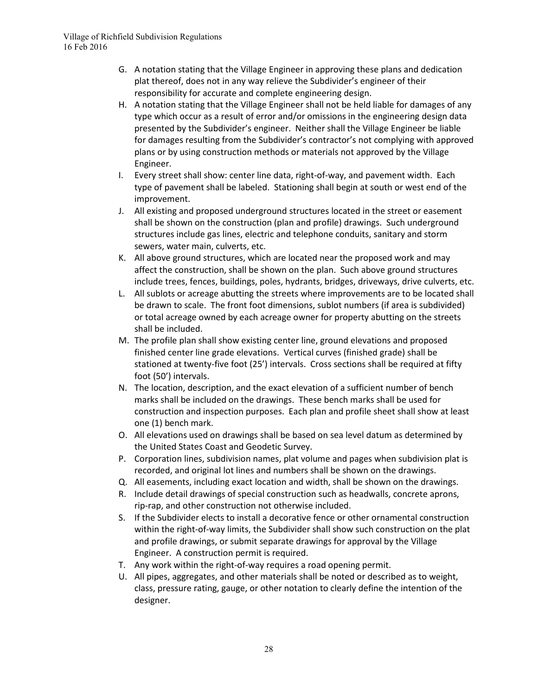- G. A notation stating that the Village Engineer in approving these plans and dedication plat thereof, does not in any way relieve the Subdivider's engineer of their responsibility for accurate and complete engineering design.
- H. A notation stating that the Village Engineer shall not be held liable for damages of any type which occur as a result of error and/or omissions in the engineering design data presented by the Subdivider's engineer. Neither shall the Village Engineer be liable for damages resulting from the Subdivider's contractor's not complying with approved plans or by using construction methods or materials not approved by the Village Engineer.
- I. Every street shall show: center line data, right-of-way, and pavement width. Each type of pavement shall be labeled. Stationing shall begin at south or west end of the improvement.
- J. All existing and proposed underground structures located in the street or easement shall be shown on the construction (plan and profile) drawings. Such underground structures include gas lines, electric and telephone conduits, sanitary and storm sewers, water main, culverts, etc.
- K. All above ground structures, which are located near the proposed work and may affect the construction, shall be shown on the plan. Such above ground structures include trees, fences, buildings, poles, hydrants, bridges, driveways, drive culverts, etc.
- L. All sublots or acreage abutting the streets where improvements are to be located shall be drawn to scale. The front foot dimensions, sublot numbers (if area is subdivided) or total acreage owned by each acreage owner for property abutting on the streets shall be included.
- M. The profile plan shall show existing center line, ground elevations and proposed finished center line grade elevations. Vertical curves (finished grade) shall be stationed at twenty-five foot (25') intervals. Cross sections shall be required at fifty foot (50') intervals.
- N. The location, description, and the exact elevation of a sufficient number of bench marks shall be included on the drawings. These bench marks shall be used for construction and inspection purposes. Each plan and profile sheet shall show at least one (1) bench mark.
- O. All elevations used on drawings shall be based on sea level datum as determined by the United States Coast and Geodetic Survey.
- P. Corporation lines, subdivision names, plat volume and pages when subdivision plat is recorded, and original lot lines and numbers shall be shown on the drawings.
- Q. All easements, including exact location and width, shall be shown on the drawings.
- R. Include detail drawings of special construction such as headwalls, concrete aprons, rip-rap, and other construction not otherwise included.
- S. If the Subdivider elects to install a decorative fence or other ornamental construction within the right-of-way limits, the Subdivider shall show such construction on the plat and profile drawings, or submit separate drawings for approval by the Village Engineer. A construction permit is required.
- T. Any work within the right-of-way requires a road opening permit.
- U. All pipes, aggregates, and other materials shall be noted or described as to weight, class, pressure rating, gauge, or other notation to clearly define the intention of the designer.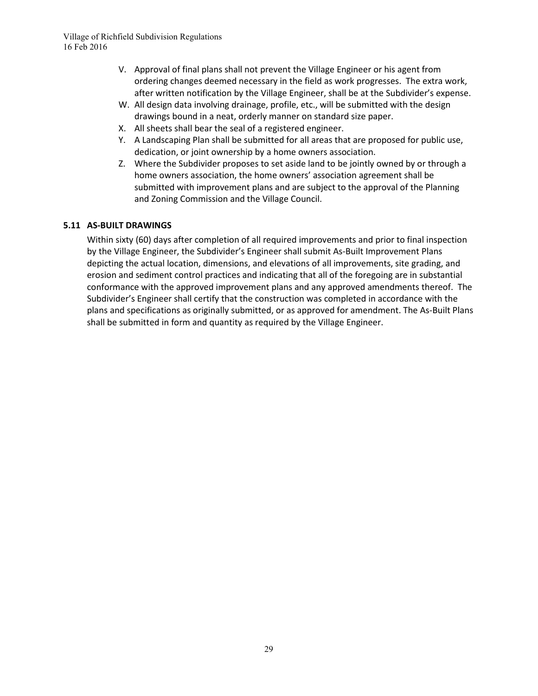- V. Approval of final plans shall not prevent the Village Engineer or his agent from ordering changes deemed necessary in the field as work progresses. The extra work, after written notification by the Village Engineer, shall be at the Subdivider's expense.
- W. All design data involving drainage, profile, etc., will be submitted with the design drawings bound in a neat, orderly manner on standard size paper.
- X. All sheets shall bear the seal of a registered engineer.
- Y. A Landscaping Plan shall be submitted for all areas that are proposed for public use, dedication, or joint ownership by a home owners association.
- Z. Where the Subdivider proposes to set aside land to be jointly owned by or through a home owners association, the home owners' association agreement shall be submitted with improvement plans and are subject to the approval of the Planning and Zoning Commission and the Village Council.

# **5.11 AS-BUILT DRAWINGS**

Within sixty (60) days after completion of all required improvements and prior to final inspection by the Village Engineer, the Subdivider's Engineer shall submit As-Built Improvement Plans depicting the actual location, dimensions, and elevations of all improvements, site grading, and erosion and sediment control practices and indicating that all of the foregoing are in substantial conformance with the approved improvement plans and any approved amendments thereof. The Subdivider's Engineer shall certify that the construction was completed in accordance with the plans and specifications as originally submitted, or as approved for amendment. The As-Built Plans shall be submitted in form and quantity as required by the Village Engineer.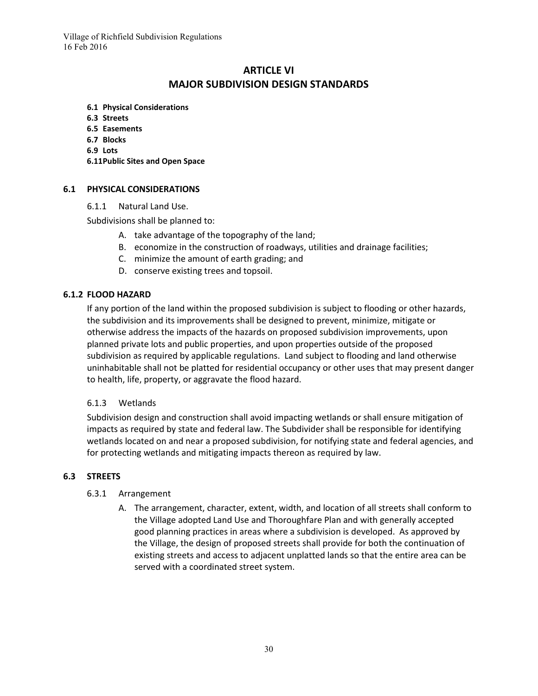# **ARTICLE VI MAJOR SUBDIVISION DESIGN STANDARDS**

- **6.1 Physical Considerations**
- **6.3 Streets**
- **6.5 Easements**
- **6.7 Blocks**
- **6.9 Lots**
- **6.11Public Sites and Open Space**

#### **6.1 PHYSICAL CONSIDERATIONS**

6.1.1 Natural Land Use.

Subdivisions shall be planned to:

- A. take advantage of the topography of the land;
- B. economize in the construction of roadways, utilities and drainage facilities;
- C. minimize the amount of earth grading; and
- D. conserve existing trees and topsoil.

#### **6.1.2 FLOOD HAZARD**

If any portion of the land within the proposed subdivision is subject to flooding or other hazards, the subdivision and its improvements shall be designed to prevent, minimize, mitigate or otherwise address the impacts of the hazards on proposed subdivision improvements, upon planned private lots and public properties, and upon properties outside of the proposed subdivision as required by applicable regulations. Land subject to flooding and land otherwise uninhabitable shall not be platted for residential occupancy or other uses that may present danger to health, life, property, or aggravate the flood hazard.

#### 6.1.3 Wetlands

Subdivision design and construction shall avoid impacting wetlands or shall ensure mitigation of impacts as required by state and federal law. The Subdivider shall be responsible for identifying wetlands located on and near a proposed subdivision, for notifying state and federal agencies, and for protecting wetlands and mitigating impacts thereon as required by law.

# **6.3 STREETS**

#### 6.3.1 Arrangement

A. The arrangement, character, extent, width, and location of all streets shall conform to the Village adopted Land Use and Thoroughfare Plan and with generally accepted good planning practices in areas where a subdivision is developed. As approved by the Village, the design of proposed streets shall provide for both the continuation of existing streets and access to adjacent unplatted lands so that the entire area can be served with a coordinated street system.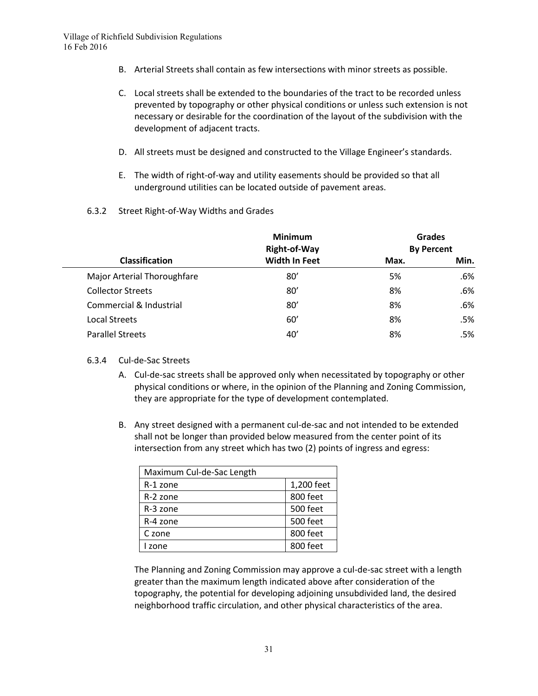- B. Arterial Streets shall contain as few intersections with minor streets as possible.
- C. Local streets shall be extended to the boundaries of the tract to be recorded unless prevented by topography or other physical conditions or unless such extension is not necessary or desirable for the coordination of the layout of the subdivision with the development of adjacent tracts.
- D. All streets must be designed and constructed to the Village Engineer's standards.
- E. The width of right-of-way and utility easements should be provided so that all underground utilities can be located outside of pavement areas.
- 6.3.2 Street Right-of-Way Widths and Grades

|                                    | <b>Minimum</b>       | <b>Grades</b><br><b>By Percent</b> |      |
|------------------------------------|----------------------|------------------------------------|------|
|                                    | Right-of-Way         |                                    |      |
| <b>Classification</b>              | <b>Width In Feet</b> | Max.                               | Min. |
| <b>Major Arterial Thoroughfare</b> | 80'                  | 5%                                 | .6%  |
| <b>Collector Streets</b>           | 80'                  | 8%                                 | .6%  |
| Commercial & Industrial            | 80'                  | 8%                                 | .6%  |
| <b>Local Streets</b>               | 60'                  | 8%                                 | .5%  |
| <b>Parallel Streets</b>            | 40'                  | 8%                                 | .5%  |
|                                    |                      |                                    |      |

#### 6.3.4 Cul-de-Sac Streets

- A. Cul-de-sac streets shall be approved only when necessitated by topography or other physical conditions or where, in the opinion of the Planning and Zoning Commission, they are appropriate for the type of development contemplated.
- B. Any street designed with a permanent cul-de-sac and not intended to be extended shall not be longer than provided below measured from the center point of its intersection from any street which has two (2) points of ingress and egress:

| Maximum Cul-de-Sac Length |            |  |  |  |
|---------------------------|------------|--|--|--|
| R-1 zone                  | 1,200 feet |  |  |  |
| R-2 zone                  | 800 feet   |  |  |  |
| R-3 zone                  | 500 feet   |  |  |  |
| R-4 zone                  | 500 feet   |  |  |  |
| C zone                    | 800 feet   |  |  |  |
| I zone                    | 800 feet   |  |  |  |

The Planning and Zoning Commission may approve a cul-de-sac street with a length greater than the maximum length indicated above after consideration of the topography, the potential for developing adjoining unsubdivided land, the desired neighborhood traffic circulation, and other physical characteristics of the area.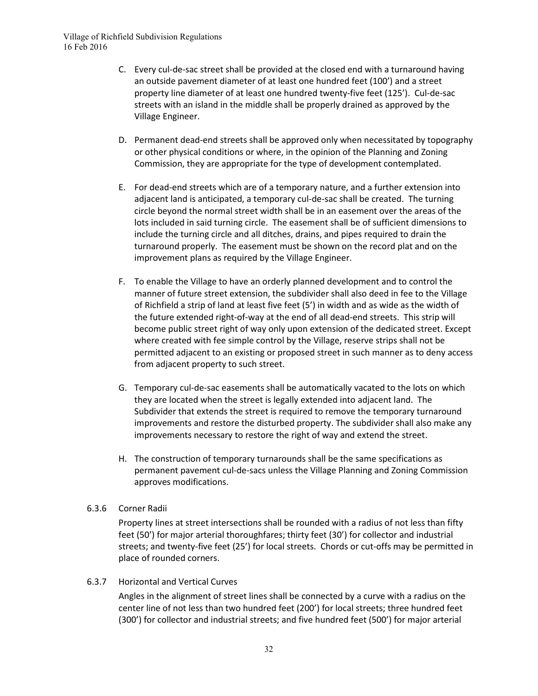- C. Every cul-de-sac street shall be provided at the closed end with a turnaround having an outside pavement diameter of at least one hundred feet (100') and a street property line diameter of at least one hundred twenty-five feet (125'). Cul-de-sac streets with an island in the middle shall be properly drained as approved by the Village Engineer.
- D. Permanent dead-end streets shall be approved only when necessitated by topography or other physical conditions or where, in the opinion of the Planning and Zoning Commission, they are appropriate for the type of development contemplated.
- E. For dead-end streets which are of a temporary nature, and a further extension into adjacent land is anticipated, a temporary cul-de-sac shall be created. The turning circle beyond the normal street width shall be in an easement over the areas of the lots included in said turning circle. The easement shall be of sufficient dimensions to include the turning circle and all ditches, drains, and pipes required to drain the turnaround properly. The easement must be shown on the record plat and on the improvement plans as required by the Village Engineer.
- F. To enable the Village to have an orderly planned development and to control the manner of future street extension, the subdivider shall also deed in fee to the Village of Richfield a strip of land at least five feet (5') in width and as wide as the width of the future extended right-of-way at the end of all dead-end streets. This strip will become public street right of way only upon extension of the dedicated street. Except where created with fee simple control by the Village, reserve strips shall not be permitted adjacent to an existing or proposed street in such manner as to deny access from adjacent property to such street.
- G. Temporary cul-de-sac easements shall be automatically vacated to the lots on which they are located when the street is legally extended into adjacent land. The Subdivider that extends the street is required to remove the temporary turnaround improvements and restore the disturbed property. The subdivider shall also make any improvements necessary to restore the right of way and extend the street.
- H. The construction of temporary turnarounds shall be the same specifications as permanent pavement cul-de-sacs unless the Village Planning and Zoning Commission approves modifications.
- 6.3.6 Corner Radii

Property lines at street intersections shall be rounded with a radius of not less than fifty feet (50') for major arterial thoroughfares; thirty feet (30') for collector and industrial streets; and twenty-five feet (25') for local streets. Chords or cut-offs may be permitted in place of rounded corners.

6.3.7 Horizontal and Vertical Curves

Angles in the alignment of street lines shall be connected by a curve with a radius on the center line of not less than two hundred feet (200') for local streets; three hundred feet (300') for collector and industrial streets; and five hundred feet (500') for major arterial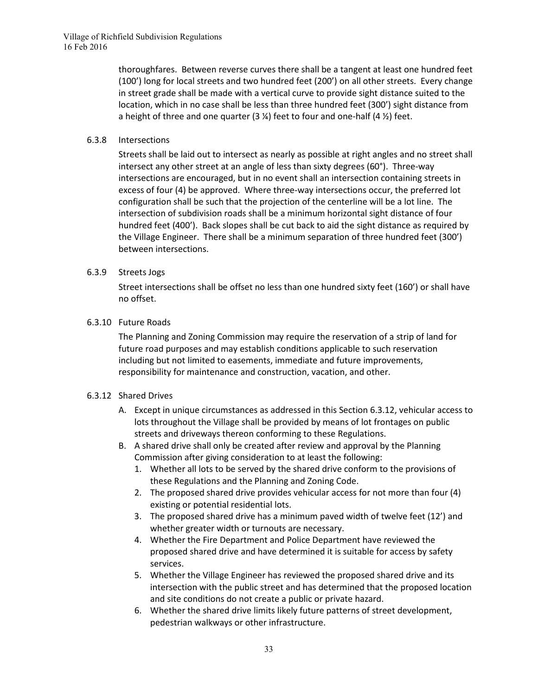thoroughfares. Between reverse curves there shall be a tangent at least one hundred feet (100') long for local streets and two hundred feet (200') on all other streets. Every change in street grade shall be made with a vertical curve to provide sight distance suited to the location, which in no case shall be less than three hundred feet (300') sight distance from a height of three and one quarter (3  $\frac{1}{2}$ ) feet to four and one-half (4  $\frac{1}{2}$ ) feet.

#### 6.3.8 Intersections

Streets shall be laid out to intersect as nearly as possible at right angles and no street shall intersect any other street at an angle of less than sixty degrees (60°). Three-way intersections are encouraged, but in no event shall an intersection containing streets in excess of four (4) be approved. Where three-way intersections occur, the preferred lot configuration shall be such that the projection of the centerline will be a lot line. The intersection of subdivision roads shall be a minimum horizontal sight distance of four hundred feet (400'). Back slopes shall be cut back to aid the sight distance as required by the Village Engineer. There shall be a minimum separation of three hundred feet (300') between intersections.

#### 6.3.9 Streets Jogs

Street intersections shall be offset no less than one hundred sixty feet (160') or shall have no offset.

#### 6.3.10 Future Roads

The Planning and Zoning Commission may require the reservation of a strip of land for future road purposes and may establish conditions applicable to such reservation including but not limited to easements, immediate and future improvements, responsibility for maintenance and construction, vacation, and other.

#### 6.3.12 Shared Drives

- A. Except in unique circumstances as addressed in this Section 6.3.12, vehicular access to lots throughout the Village shall be provided by means of lot frontages on public streets and driveways thereon conforming to these Regulations.
- B. A shared drive shall only be created after review and approval by the Planning Commission after giving consideration to at least the following:
	- 1. Whether all lots to be served by the shared drive conform to the provisions of these Regulations and the Planning and Zoning Code.
	- 2. The proposed shared drive provides vehicular access for not more than four (4) existing or potential residential lots.
	- 3. The proposed shared drive has a minimum paved width of twelve feet (12') and whether greater width or turnouts are necessary.
	- 4. Whether the Fire Department and Police Department have reviewed the proposed shared drive and have determined it is suitable for access by safety services.
	- 5. Whether the Village Engineer has reviewed the proposed shared drive and its intersection with the public street and has determined that the proposed location and site conditions do not create a public or private hazard.
	- 6. Whether the shared drive limits likely future patterns of street development, pedestrian walkways or other infrastructure.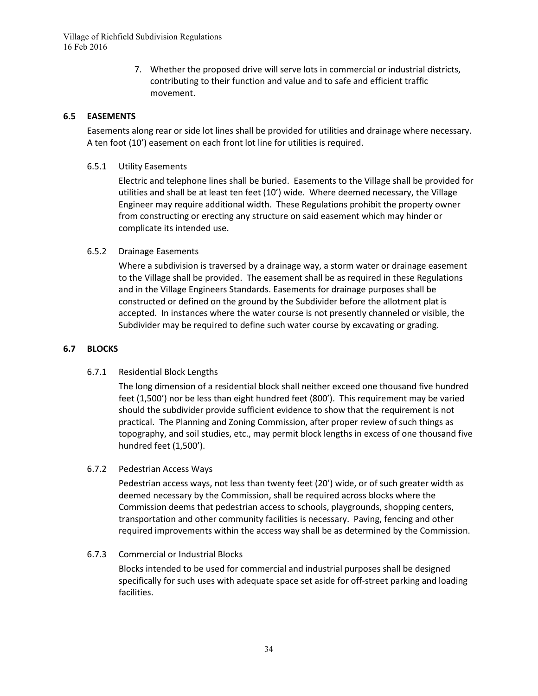7. Whether the proposed drive will serve lots in commercial or industrial districts, contributing to their function and value and to safe and efficient traffic movement.

# **6.5 EASEMENTS**

Easements along rear or side lot lines shall be provided for utilities and drainage where necessary. A ten foot (10') easement on each front lot line for utilities is required.

6.5.1 Utility Easements

Electric and telephone lines shall be buried. Easements to the Village shall be provided for utilities and shall be at least ten feet (10') wide. Where deemed necessary, the Village Engineer may require additional width. These Regulations prohibit the property owner from constructing or erecting any structure on said easement which may hinder or complicate its intended use.

#### 6.5.2 Drainage Easements

Where a subdivision is traversed by a drainage way, a storm water or drainage easement to the Village shall be provided. The easement shall be as required in these Regulations and in the Village Engineers Standards. Easements for drainage purposes shall be constructed or defined on the ground by the Subdivider before the allotment plat is accepted. In instances where the water course is not presently channeled or visible, the Subdivider may be required to define such water course by excavating or grading.

#### **6.7 BLOCKS**

#### 6.7.1 Residential Block Lengths

The long dimension of a residential block shall neither exceed one thousand five hundred feet (1,500') nor be less than eight hundred feet (800'). This requirement may be varied should the subdivider provide sufficient evidence to show that the requirement is not practical. The Planning and Zoning Commission, after proper review of such things as topography, and soil studies, etc., may permit block lengths in excess of one thousand five hundred feet (1,500').

#### 6.7.2 Pedestrian Access Ways

Pedestrian access ways, not less than twenty feet (20') wide, or of such greater width as deemed necessary by the Commission, shall be required across blocks where the Commission deems that pedestrian access to schools, playgrounds, shopping centers, transportation and other community facilities is necessary. Paving, fencing and other required improvements within the access way shall be as determined by the Commission.

#### 6.7.3 Commercial or Industrial Blocks

Blocks intended to be used for commercial and industrial purposes shall be designed specifically for such uses with adequate space set aside for off-street parking and loading facilities.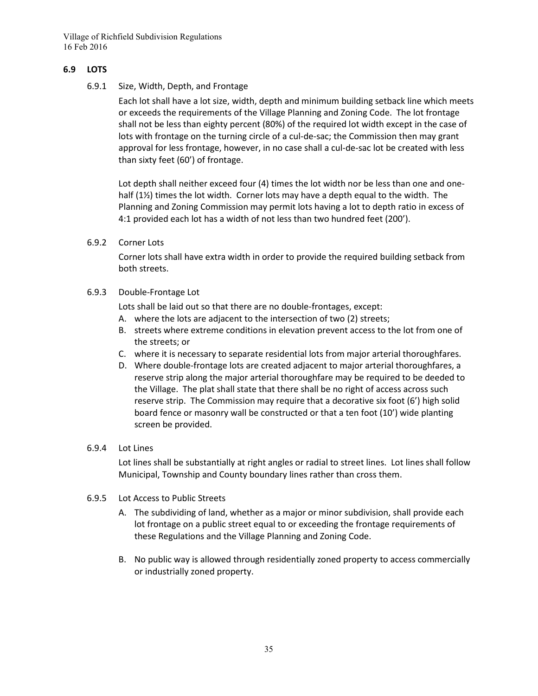#### **6.9 LOTS**

6.9.1 Size, Width, Depth, and Frontage

Each lot shall have a lot size, width, depth and minimum building setback line which meets or exceeds the requirements of the Village Planning and Zoning Code. The lot frontage shall not be less than eighty percent (80%) of the required lot width except in the case of lots with frontage on the turning circle of a cul-de-sac; the Commission then may grant approval for less frontage, however, in no case shall a cul-de-sac lot be created with less than sixty feet (60') of frontage.

Lot depth shall neither exceed four (4) times the lot width nor be less than one and onehalf (1½) times the lot width. Corner lots may have a depth equal to the width. The Planning and Zoning Commission may permit lots having a lot to depth ratio in excess of 4:1 provided each lot has a width of not less than two hundred feet (200').

6.9.2 Corner Lots

Corner lots shall have extra width in order to provide the required building setback from both streets.

6.9.3 Double-Frontage Lot

Lots shall be laid out so that there are no double-frontages, except:

- A. where the lots are adjacent to the intersection of two (2) streets;
- B. streets where extreme conditions in elevation prevent access to the lot from one of the streets; or
- C. where it is necessary to separate residential lots from major arterial thoroughfares.
- D. Where double-frontage lots are created adjacent to major arterial thoroughfares, a reserve strip along the major arterial thoroughfare may be required to be deeded to the Village. The plat shall state that there shall be no right of access across such reserve strip. The Commission may require that a decorative six foot (6') high solid board fence or masonry wall be constructed or that a ten foot (10') wide planting screen be provided.
- 6.9.4 Lot Lines

Lot lines shall be substantially at right angles or radial to street lines. Lot lines shall follow Municipal, Township and County boundary lines rather than cross them.

- 6.9.5 Lot Access to Public Streets
	- A. The subdividing of land, whether as a major or minor subdivision, shall provide each lot frontage on a public street equal to or exceeding the frontage requirements of these Regulations and the Village Planning and Zoning Code.
	- B. No public way is allowed through residentially zoned property to access commercially or industrially zoned property.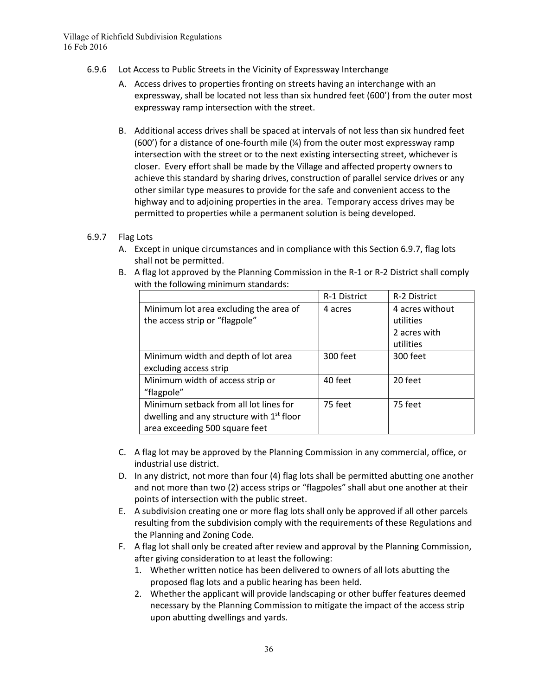- 6.9.6 Lot Access to Public Streets in the Vicinity of Expressway Interchange
	- A. Access drives to properties fronting on streets having an interchange with an expressway, shall be located not less than six hundred feet (600') from the outer most expressway ramp intersection with the street.
	- B. Additional access drives shall be spaced at intervals of not less than six hundred feet (600') for a distance of one-fourth mile (¼) from the outer most expressway ramp intersection with the street or to the next existing intersecting street, whichever is closer. Every effort shall be made by the Village and affected property owners to achieve this standard by sharing drives, construction of parallel service drives or any other similar type measures to provide for the safe and convenient access to the highway and to adjoining properties in the area. Temporary access drives may be permitted to properties while a permanent solution is being developed.

#### 6.9.7 Flag Lots

- A. Except in unique circumstances and in compliance with this Section 6.9.7, flag lots shall not be permitted.
- B. A flag lot approved by the Planning Commission in the R-1 or R-2 District shall comply with the following minimum standards:

|                                             | R-1 District | R-2 District    |
|---------------------------------------------|--------------|-----------------|
| Minimum lot area excluding the area of      | 4 acres      | 4 acres without |
| the access strip or "flagpole"              |              | utilities       |
|                                             |              | 2 acres with    |
|                                             |              | utilities       |
| Minimum width and depth of lot area         | 300 feet     | 300 feet        |
| excluding access strip                      |              |                 |
| Minimum width of access strip or            | 40 feet      | 20 feet         |
| "flagpole"                                  |              |                 |
| Minimum setback from all lot lines for      | 75 feet      | 75 feet         |
| dwelling and any structure with $1st$ floor |              |                 |
| area exceeding 500 square feet              |              |                 |

- C. A flag lot may be approved by the Planning Commission in any commercial, office, or industrial use district.
- D. In any district, not more than four (4) flag lots shall be permitted abutting one another and not more than two (2) access strips or "flagpoles" shall abut one another at their points of intersection with the public street.
- E. A subdivision creating one or more flag lots shall only be approved if all other parcels resulting from the subdivision comply with the requirements of these Regulations and the Planning and Zoning Code.
- F. A flag lot shall only be created after review and approval by the Planning Commission, after giving consideration to at least the following:
	- 1. Whether written notice has been delivered to owners of all lots abutting the proposed flag lots and a public hearing has been held.
	- 2. Whether the applicant will provide landscaping or other buffer features deemed necessary by the Planning Commission to mitigate the impact of the access strip upon abutting dwellings and yards.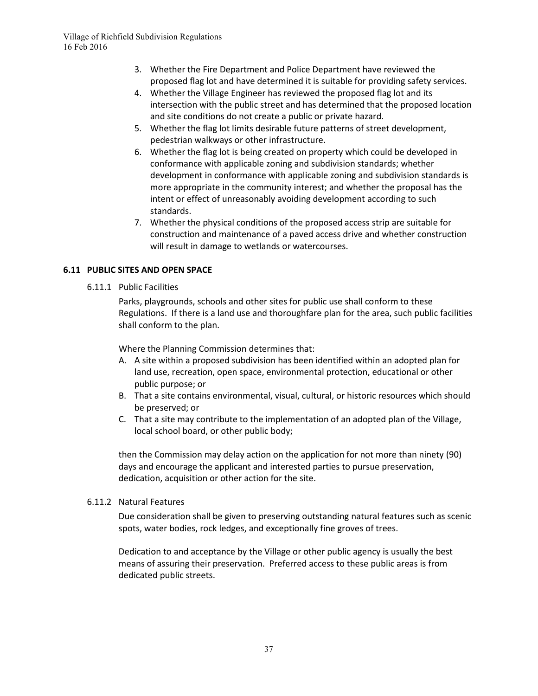- 3. Whether the Fire Department and Police Department have reviewed the proposed flag lot and have determined it is suitable for providing safety services.
- 4. Whether the Village Engineer has reviewed the proposed flag lot and its intersection with the public street and has determined that the proposed location and site conditions do not create a public or private hazard.
- 5. Whether the flag lot limits desirable future patterns of street development, pedestrian walkways or other infrastructure.
- 6. Whether the flag lot is being created on property which could be developed in conformance with applicable zoning and subdivision standards; whether development in conformance with applicable zoning and subdivision standards is more appropriate in the community interest; and whether the proposal has the intent or effect of unreasonably avoiding development according to such standards.
- 7. Whether the physical conditions of the proposed access strip are suitable for construction and maintenance of a paved access drive and whether construction will result in damage to wetlands or watercourses.

# **6.11 PUBLIC SITES AND OPEN SPACE**

6.11.1 Public Facilities

Parks, playgrounds, schools and other sites for public use shall conform to these Regulations. If there is a land use and thoroughfare plan for the area, such public facilities shall conform to the plan.

Where the Planning Commission determines that:

- A. A site within a proposed subdivision has been identified within an adopted plan for land use, recreation, open space, environmental protection, educational or other public purpose; or
- B. That a site contains environmental, visual, cultural, or historic resources which should be preserved; or
- C. That a site may contribute to the implementation of an adopted plan of the Village, local school board, or other public body;

then the Commission may delay action on the application for not more than ninety (90) days and encourage the applicant and interested parties to pursue preservation, dedication, acquisition or other action for the site.

# 6.11.2 Natural Features

Due consideration shall be given to preserving outstanding natural features such as scenic spots, water bodies, rock ledges, and exceptionally fine groves of trees.

Dedication to and acceptance by the Village or other public agency is usually the best means of assuring their preservation. Preferred access to these public areas is from dedicated public streets.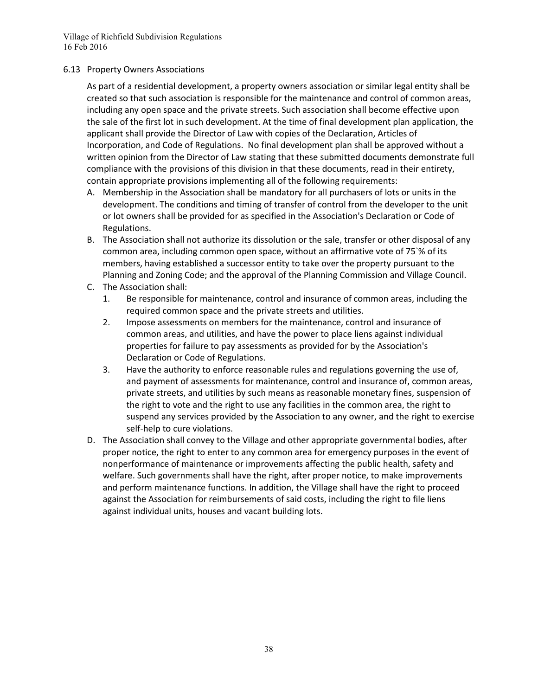#### 6.13 Property Owners Associations

As part of a residential development, a property owners association or similar legal entity shall be created so that such association is responsible for the maintenance and control of common areas, including any open space and the private streets. Such association shall become effective upon the sale of the first lot in such development. At the time of final development plan application, the applicant shall provide the Director of Law with copies of the Declaration, Articles of Incorporation, and Code of Regulations. No final development plan shall be approved without a written opinion from the Director of Law stating that these submitted documents demonstrate full compliance with the provisions of this division in that these documents, read in their entirety, contain appropriate provisions implementing all of the following requirements:

- A. Membership in the Association shall be mandatory for all purchasers of lots or units in the development. The conditions and timing of transfer of control from the developer to the unit or lot owners shall be provided for as specified in the Association's Declaration or Code of Regulations.
- B. The Association shall not authorize its dissolution or the sale, transfer or other disposal of any common area, including common open space, without an affirmative vote of 75`% of its members, having established a successor entity to take over the property pursuant to the Planning and Zoning Code; and the approval of the Planning Commission and Village Council.
- C. The Association shall:
	- 1. Be responsible for maintenance, control and insurance of common areas, including the required common space and the private streets and utilities.
	- 2. Impose assessments on members for the maintenance, control and insurance of common areas, and utilities, and have the power to place liens against individual properties for failure to pay assessments as provided for by the Association's Declaration or Code of Regulations.
	- 3. Have the authority to enforce reasonable rules and regulations governing the use of, and payment of assessments for maintenance, control and insurance of, common areas, private streets, and utilities by such means as reasonable monetary fines, suspension of the right to vote and the right to use any facilities in the common area, the right to suspend any services provided by the Association to any owner, and the right to exercise self-help to cure violations.
- D. The Association shall convey to the Village and other appropriate governmental bodies, after proper notice, the right to enter to any common area for emergency purposes in the event of nonperformance of maintenance or improvements affecting the public health, safety and welfare. Such governments shall have the right, after proper notice, to make improvements and perform maintenance functions. In addition, the Village shall have the right to proceed against the Association for reimbursements of said costs, including the right to file liens against individual units, houses and vacant building lots.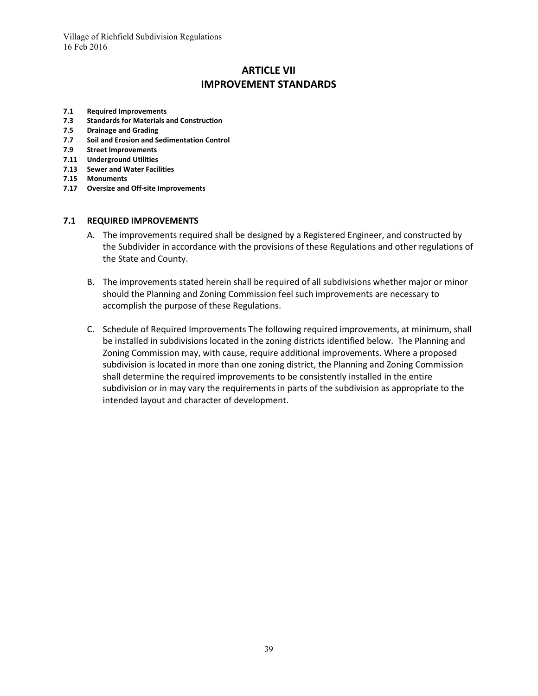# **ARTICLE VII IMPROVEMENT STANDARDS**

- **7.1 Required Improvements**
- **7.3 Standards for Materials and Construction**
- **7.5 Drainage and Grading**
- **7.7 Soil and Erosion and Sedimentation Control**
- **7.9 Street Improvements**
- **7.11 Underground Utilities**
- **7.13 Sewer and Water Facilities**
- **7.15 Monuments**
- **7.17 Oversize and Off-site Improvements**

#### **7.1 REQUIRED IMPROVEMENTS**

- A. The improvements required shall be designed by a Registered Engineer, and constructed by the Subdivider in accordance with the provisions of these Regulations and other regulations of the State and County.
- B. The improvements stated herein shall be required of all subdivisions whether major or minor should the Planning and Zoning Commission feel such improvements are necessary to accomplish the purpose of these Regulations.
- C. Schedule of Required Improvements The following required improvements, at minimum, shall be installed in subdivisions located in the zoning districts identified below. The Planning and Zoning Commission may, with cause, require additional improvements. Where a proposed subdivision is located in more than one zoning district, the Planning and Zoning Commission shall determine the required improvements to be consistently installed in the entire subdivision or in may vary the requirements in parts of the subdivision as appropriate to the intended layout and character of development.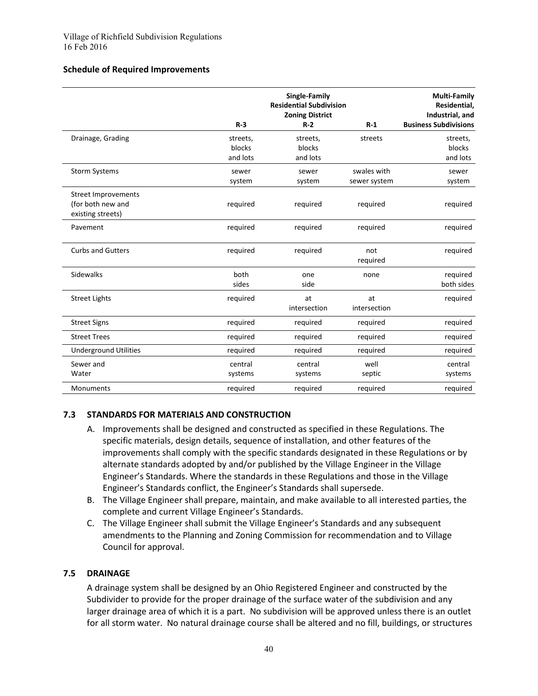#### **Schedule of Required Improvements**

|                              |          | Single-Family<br><b>Residential Subdivision</b><br><b>Zoning District</b> |                 | <b>Multi-Family</b><br>Residential,<br>Industrial, and |
|------------------------------|----------|---------------------------------------------------------------------------|-----------------|--------------------------------------------------------|
|                              | $R-3$    | $R-2$                                                                     | $R-1$           | <b>Business Subdivisions</b>                           |
| Drainage, Grading            | streets, | streets,                                                                  | streets         | streets,                                               |
|                              | blocks   | blocks                                                                    |                 | blocks                                                 |
|                              | and lots | and lots                                                                  |                 | and lots                                               |
| <b>Storm Systems</b>         | sewer    | sewer                                                                     | swales with     | sewer                                                  |
|                              | system   | system                                                                    | sewer system    | system                                                 |
| <b>Street Improvements</b>   |          |                                                                           |                 |                                                        |
| (for both new and            | required | required                                                                  | required        | required                                               |
| existing streets)            |          |                                                                           |                 |                                                        |
| Pavement                     | required | required                                                                  | required        | required                                               |
| <b>Curbs and Gutters</b>     | required | required                                                                  | not<br>required | required                                               |
| <b>Sidewalks</b>             | both     | one                                                                       | none            | required                                               |
|                              | sides    | side                                                                      |                 | both sides                                             |
| <b>Street Lights</b>         | required | at                                                                        | at              | required                                               |
|                              |          | intersection                                                              | intersection    |                                                        |
| <b>Street Signs</b>          | required | required                                                                  | required        | required                                               |
| <b>Street Trees</b>          | required | required                                                                  | required        | required                                               |
| <b>Underground Utilities</b> | required | required                                                                  | required        | required                                               |
| Sewer and                    | central  | central                                                                   | well            | central                                                |
| Water                        | systems  | systems                                                                   | septic          | systems                                                |
| <b>Monuments</b>             | required | required                                                                  | required        | required                                               |

#### **7.3 STANDARDS FOR MATERIALS AND CONSTRUCTION**

- A. Improvements shall be designed and constructed as specified in these Regulations. The specific materials, design details, sequence of installation, and other features of the improvements shall comply with the specific standards designated in these Regulations or by alternate standards adopted by and/or published by the Village Engineer in the Village Engineer's Standards. Where the standards in these Regulations and those in the Village Engineer's Standards conflict, the Engineer's Standards shall supersede.
- B. The Village Engineer shall prepare, maintain, and make available to all interested parties, the complete and current Village Engineer's Standards.
- C. The Village Engineer shall submit the Village Engineer's Standards and any subsequent amendments to the Planning and Zoning Commission for recommendation and to Village Council for approval.

# **7.5 DRAINAGE**

A drainage system shall be designed by an Ohio Registered Engineer and constructed by the Subdivider to provide for the proper drainage of the surface water of the subdivision and any larger drainage area of which it is a part. No subdivision will be approved unless there is an outlet for all storm water. No natural drainage course shall be altered and no fill, buildings, or structures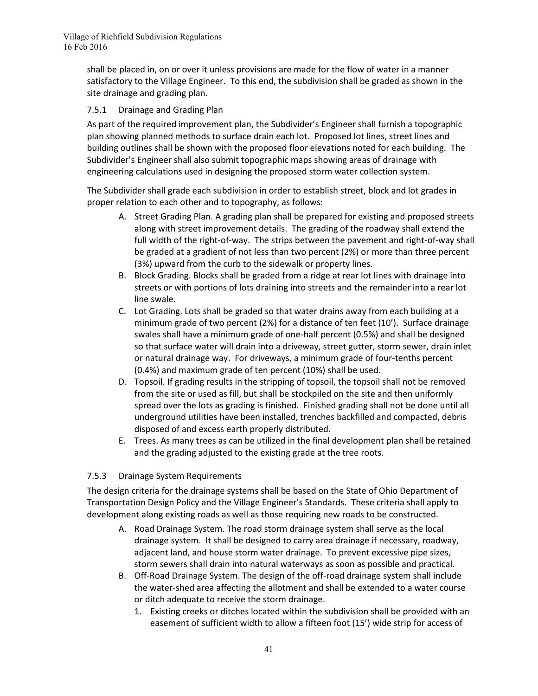shall be placed in, on or over it unless provisions are made for the flow of water in a manner satisfactory to the Village Engineer. To this end, the subdivision shall be graded as shown in the site drainage and grading plan.

# 7.5.1 Drainage and Grading Plan

As part of the required improvement plan, the Subdivider's Engineer shall furnish a topographic plan showing planned methods to surface drain each lot. Proposed lot lines, street lines and building outlines shall be shown with the proposed floor elevations noted for each building. The Subdivider's Engineer shall also submit topographic maps showing areas of drainage with engineering calculations used in designing the proposed storm water collection system.

The Subdivider shall grade each subdivision in order to establish street, block and lot grades in proper relation to each other and to topography, as follows:

- A. Street Grading Plan. A grading plan shall be prepared for existing and proposed streets along with street improvement details. The grading of the roadway shall extend the full width of the right-of-way. The strips between the pavement and right-of-way shall be graded at a gradient of not less than two percent (2%) or more than three percent (3%) upward from the curb to the sidewalk or property lines.
- B. Block Grading. Blocks shall be graded from a ridge at rear lot lines with drainage into streets or with portions of lots draining into streets and the remainder into a rear lot line swale.
- C. Lot Grading. Lots shall be graded so that water drains away from each building at a minimum grade of two percent (2%) for a distance of ten feet (10'). Surface drainage swales shall have a minimum grade of one-half percent (0.5%) and shall be designed so that surface water will drain into a driveway, street gutter, storm sewer, drain inlet or natural drainage way. For driveways, a minimum grade of four-tenths percent (0.4%) and maximum grade of ten percent (10%) shall be used.
- D. Topsoil. If grading results in the stripping of topsoil, the topsoil shall not be removed from the site or used as fill, but shall be stockpiled on the site and then uniformly spread over the lots as grading is finished. Finished grading shall not be done until all underground utilities have been installed, trenches backfilled and compacted, debris disposed of and excess earth properly distributed.
- E. Trees. As many trees as can be utilized in the final development plan shall be retained and the grading adjusted to the existing grade at the tree roots.

# 7.5.3 Drainage System Requirements

The design criteria for the drainage systems shall be based on the State of Ohio Department of Transportation Design Policy and the Village Engineer's Standards. These criteria shall apply to development along existing roads as well as those requiring new roads to be constructed.

- A. Road Drainage System. The road storm drainage system shall serve as the local drainage system. It shall be designed to carry area drainage if necessary, roadway, adjacent land, and house storm water drainage. To prevent excessive pipe sizes, storm sewers shall drain into natural waterways as soon as possible and practical.
- B. Off-Road Drainage System. The design of the off-road drainage system shall include the water-shed area affecting the allotment and shall be extended to a water course or ditch adequate to receive the storm drainage.
	- 1. Existing creeks or ditches located within the subdivision shall be provided with an easement of sufficient width to allow a fifteen foot (15') wide strip for access of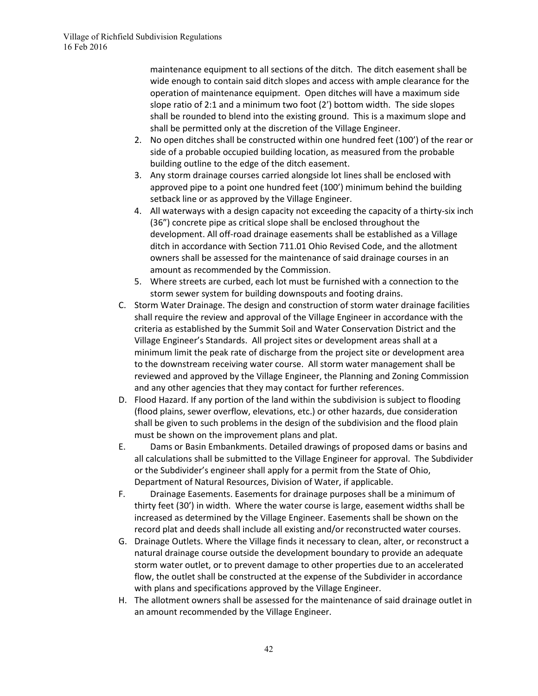maintenance equipment to all sections of the ditch. The ditch easement shall be wide enough to contain said ditch slopes and access with ample clearance for the operation of maintenance equipment. Open ditches will have a maximum side slope ratio of 2:1 and a minimum two foot (2') bottom width. The side slopes shall be rounded to blend into the existing ground. This is a maximum slope and shall be permitted only at the discretion of the Village Engineer.

- 2. No open ditches shall be constructed within one hundred feet (100') of the rear or side of a probable occupied building location, as measured from the probable building outline to the edge of the ditch easement.
- 3. Any storm drainage courses carried alongside lot lines shall be enclosed with approved pipe to a point one hundred feet (100') minimum behind the building setback line or as approved by the Village Engineer.
- 4. All waterways with a design capacity not exceeding the capacity of a thirty-six inch (36") concrete pipe as critical slope shall be enclosed throughout the development. All off-road drainage easements shall be established as a Village ditch in accordance with Section 711.01 Ohio Revised Code, and the allotment owners shall be assessed for the maintenance of said drainage courses in an amount as recommended by the Commission.
- 5. Where streets are curbed, each lot must be furnished with a connection to the storm sewer system for building downspouts and footing drains.
- C. Storm Water Drainage. The design and construction of storm water drainage facilities shall require the review and approval of the Village Engineer in accordance with the criteria as established by the Summit Soil and Water Conservation District and the Village Engineer's Standards. All project sites or development areas shall at a minimum limit the peak rate of discharge from the project site or development area to the downstream receiving water course. All storm water management shall be reviewed and approved by the Village Engineer, the Planning and Zoning Commission and any other agencies that they may contact for further references.
- D. Flood Hazard. If any portion of the land within the subdivision is subject to flooding (flood plains, sewer overflow, elevations, etc.) or other hazards, due consideration shall be given to such problems in the design of the subdivision and the flood plain must be shown on the improvement plans and plat.
- E. Dams or Basin Embankments. Detailed drawings of proposed dams or basins and all calculations shall be submitted to the Village Engineer for approval. The Subdivider or the Subdivider's engineer shall apply for a permit from the State of Ohio, Department of Natural Resources, Division of Water, if applicable.
- F. Drainage Easements. Easements for drainage purposes shall be a minimum of thirty feet (30') in width. Where the water course is large, easement widths shall be increased as determined by the Village Engineer. Easements shall be shown on the record plat and deeds shall include all existing and/or reconstructed water courses.
- G. Drainage Outlets. Where the Village finds it necessary to clean, alter, or reconstruct a natural drainage course outside the development boundary to provide an adequate storm water outlet, or to prevent damage to other properties due to an accelerated flow, the outlet shall be constructed at the expense of the Subdivider in accordance with plans and specifications approved by the Village Engineer.
- H. The allotment owners shall be assessed for the maintenance of said drainage outlet in an amount recommended by the Village Engineer.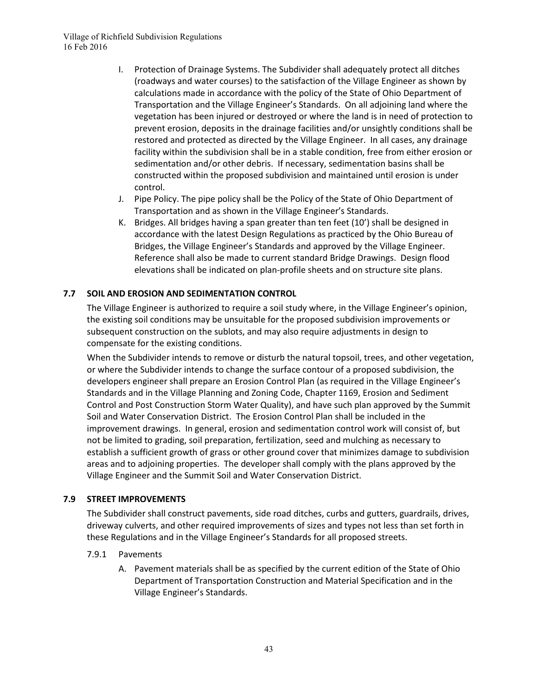- I. Protection of Drainage Systems. The Subdivider shall adequately protect all ditches (roadways and water courses) to the satisfaction of the Village Engineer as shown by calculations made in accordance with the policy of the State of Ohio Department of Transportation and the Village Engineer's Standards. On all adjoining land where the vegetation has been injured or destroyed or where the land is in need of protection to prevent erosion, deposits in the drainage facilities and/or unsightly conditions shall be restored and protected as directed by the Village Engineer. In all cases, any drainage facility within the subdivision shall be in a stable condition, free from either erosion or sedimentation and/or other debris. If necessary, sedimentation basins shall be constructed within the proposed subdivision and maintained until erosion is under control.
- J. Pipe Policy. The pipe policy shall be the Policy of the State of Ohio Department of Transportation and as shown in the Village Engineer's Standards.
- K. Bridges. All bridges having a span greater than ten feet (10') shall be designed in accordance with the latest Design Regulations as practiced by the Ohio Bureau of Bridges, the Village Engineer's Standards and approved by the Village Engineer. Reference shall also be made to current standard Bridge Drawings. Design flood elevations shall be indicated on plan-profile sheets and on structure site plans.

# **7.7 SOIL AND EROSION AND SEDIMENTATION CONTROL**

The Village Engineer is authorized to require a soil study where, in the Village Engineer's opinion, the existing soil conditions may be unsuitable for the proposed subdivision improvements or subsequent construction on the sublots, and may also require adjustments in design to compensate for the existing conditions.

When the Subdivider intends to remove or disturb the natural topsoil, trees, and other vegetation, or where the Subdivider intends to change the surface contour of a proposed subdivision, the developers engineer shall prepare an Erosion Control Plan (as required in the Village Engineer's Standards and in the Village Planning and Zoning Code, Chapter 1169, Erosion and Sediment Control and Post Construction Storm Water Quality), and have such plan approved by the Summit Soil and Water Conservation District. The Erosion Control Plan shall be included in the improvement drawings. In general, erosion and sedimentation control work will consist of, but not be limited to grading, soil preparation, fertilization, seed and mulching as necessary to establish a sufficient growth of grass or other ground cover that minimizes damage to subdivision areas and to adjoining properties. The developer shall comply with the plans approved by the Village Engineer and the Summit Soil and Water Conservation District.

#### **7.9 STREET IMPROVEMENTS**

The Subdivider shall construct pavements, side road ditches, curbs and gutters, guardrails, drives, driveway culverts, and other required improvements of sizes and types not less than set forth in these Regulations and in the Village Engineer's Standards for all proposed streets.

#### 7.9.1 Pavements

A. Pavement materials shall be as specified by the current edition of the State of Ohio Department of Transportation Construction and Material Specification and in the Village Engineer's Standards.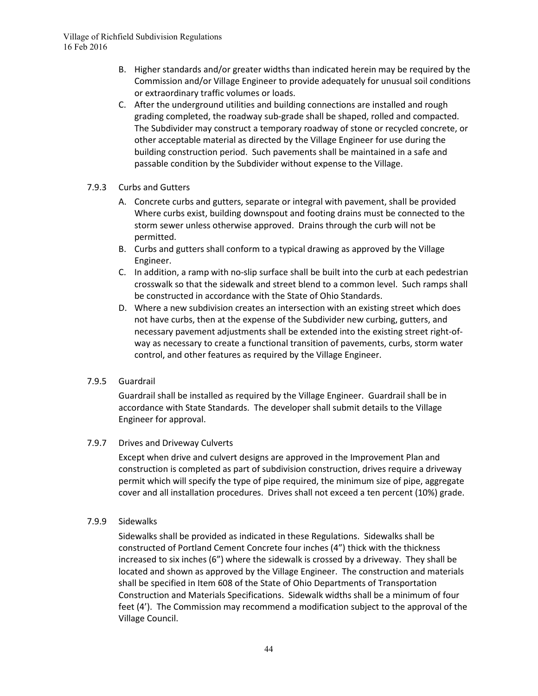- B. Higher standards and/or greater widths than indicated herein may be required by the Commission and/or Village Engineer to provide adequately for unusual soil conditions or extraordinary traffic volumes or loads.
- C. After the underground utilities and building connections are installed and rough grading completed, the roadway sub-grade shall be shaped, rolled and compacted. The Subdivider may construct a temporary roadway of stone or recycled concrete, or other acceptable material as directed by the Village Engineer for use during the building construction period. Such pavements shall be maintained in a safe and passable condition by the Subdivider without expense to the Village.
- 7.9.3 Curbs and Gutters
	- A. Concrete curbs and gutters, separate or integral with pavement, shall be provided Where curbs exist, building downspout and footing drains must be connected to the storm sewer unless otherwise approved. Drains through the curb will not be permitted.
	- B. Curbs and gutters shall conform to a typical drawing as approved by the Village Engineer.
	- C. In addition, a ramp with no-slip surface shall be built into the curb at each pedestrian crosswalk so that the sidewalk and street blend to a common level. Such ramps shall be constructed in accordance with the State of Ohio Standards.
	- D. Where a new subdivision creates an intersection with an existing street which does not have curbs, then at the expense of the Subdivider new curbing, gutters, and necessary pavement adjustments shall be extended into the existing street right-ofway as necessary to create a functional transition of pavements, curbs, storm water control, and other features as required by the Village Engineer.
- 7.9.5 Guardrail

Guardrail shall be installed as required by the Village Engineer. Guardrail shall be in accordance with State Standards. The developer shall submit details to the Village Engineer for approval.

# 7.9.7 Drives and Driveway Culverts

Except when drive and culvert designs are approved in the Improvement Plan and construction is completed as part of subdivision construction, drives require a driveway permit which will specify the type of pipe required, the minimum size of pipe, aggregate cover and all installation procedures. Drives shall not exceed a ten percent (10%) grade.

#### 7.9.9 Sidewalks

Sidewalks shall be provided as indicated in these Regulations. Sidewalks shall be constructed of Portland Cement Concrete four inches (4") thick with the thickness increased to six inches (6") where the sidewalk is crossed by a driveway. They shall be located and shown as approved by the Village Engineer. The construction and materials shall be specified in Item 608 of the State of Ohio Departments of Transportation Construction and Materials Specifications. Sidewalk widths shall be a minimum of four feet (4'). The Commission may recommend a modification subject to the approval of the Village Council.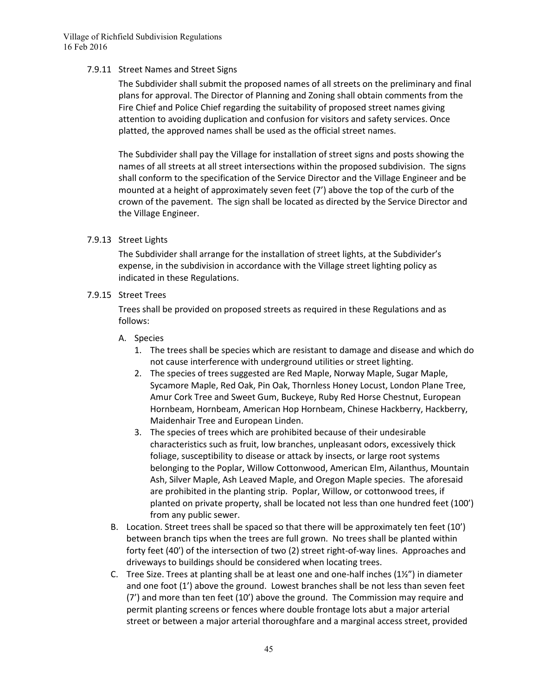#### 7.9.11 Street Names and Street Signs

The Subdivider shall submit the proposed names of all streets on the preliminary and final plans for approval. The Director of Planning and Zoning shall obtain comments from the Fire Chief and Police Chief regarding the suitability of proposed street names giving attention to avoiding duplication and confusion for visitors and safety services. Once platted, the approved names shall be used as the official street names.

The Subdivider shall pay the Village for installation of street signs and posts showing the names of all streets at all street intersections within the proposed subdivision. The signs shall conform to the specification of the Service Director and the Village Engineer and be mounted at a height of approximately seven feet (7') above the top of the curb of the crown of the pavement. The sign shall be located as directed by the Service Director and the Village Engineer.

#### 7.9.13 Street Lights

The Subdivider shall arrange for the installation of street lights, at the Subdivider's expense, in the subdivision in accordance with the Village street lighting policy as indicated in these Regulations.

#### 7.9.15 Street Trees

Trees shall be provided on proposed streets as required in these Regulations and as follows:

#### A. Species

- 1. The trees shall be species which are resistant to damage and disease and which do not cause interference with underground utilities or street lighting.
- 2. The species of trees suggested are Red Maple, Norway Maple, Sugar Maple, Sycamore Maple, Red Oak, Pin Oak, Thornless Honey Locust, London Plane Tree, Amur Cork Tree and Sweet Gum, Buckeye, Ruby Red Horse Chestnut, European Hornbeam, Hornbeam, American Hop Hornbeam, Chinese Hackberry, Hackberry, Maidenhair Tree and European Linden.
- 3. The species of trees which are prohibited because of their undesirable characteristics such as fruit, low branches, unpleasant odors, excessively thick foliage, susceptibility to disease or attack by insects, or large root systems belonging to the Poplar, Willow Cottonwood, American Elm, Ailanthus, Mountain Ash, Silver Maple, Ash Leaved Maple, and Oregon Maple species. The aforesaid are prohibited in the planting strip. Poplar, Willow, or cottonwood trees, if planted on private property, shall be located not less than one hundred feet (100') from any public sewer.
- B. Location. Street trees shall be spaced so that there will be approximately ten feet (10') between branch tips when the trees are full grown. No trees shall be planted within forty feet (40') of the intersection of two (2) street right-of-way lines. Approaches and driveways to buildings should be considered when locating trees.
- C. Tree Size. Trees at planting shall be at least one and one-half inches  $(122'')$  in diameter and one foot (1') above the ground. Lowest branches shall be not less than seven feet (7') and more than ten feet (10') above the ground. The Commission may require and permit planting screens or fences where double frontage lots abut a major arterial street or between a major arterial thoroughfare and a marginal access street, provided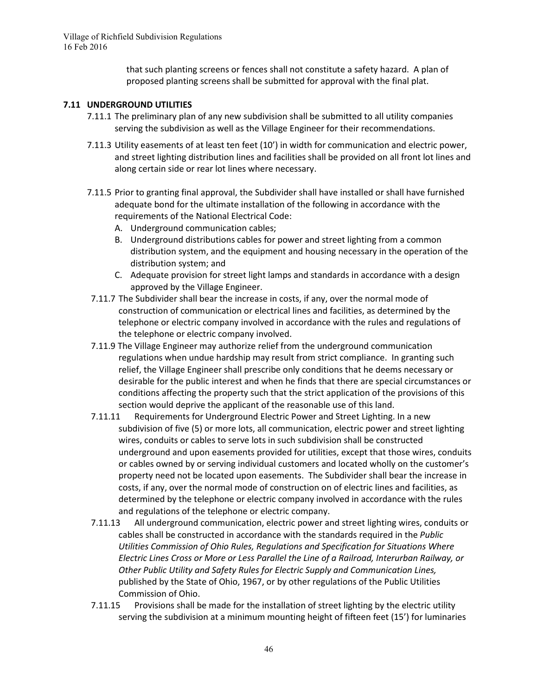> that such planting screens or fences shall not constitute a safety hazard. A plan of proposed planting screens shall be submitted for approval with the final plat.

#### **7.11 UNDERGROUND UTILITIES**

- 7.11.1 The preliminary plan of any new subdivision shall be submitted to all utility companies serving the subdivision as well as the Village Engineer for their recommendations.
- 7.11.3 Utility easements of at least ten feet (10') in width for communication and electric power, and street lighting distribution lines and facilities shall be provided on all front lot lines and along certain side or rear lot lines where necessary.
- 7.11.5 Prior to granting final approval, the Subdivider shall have installed or shall have furnished adequate bond for the ultimate installation of the following in accordance with the requirements of the National Electrical Code:
	- A. Underground communication cables;
	- B. Underground distributions cables for power and street lighting from a common distribution system, and the equipment and housing necessary in the operation of the distribution system; and
	- C. Adequate provision for street light lamps and standards in accordance with a design approved by the Village Engineer.
- 7.11.7 The Subdivider shall bear the increase in costs, if any, over the normal mode of construction of communication or electrical lines and facilities, as determined by the telephone or electric company involved in accordance with the rules and regulations of the telephone or electric company involved.
- 7.11.9 The Village Engineer may authorize relief from the underground communication regulations when undue hardship may result from strict compliance. In granting such relief, the Village Engineer shall prescribe only conditions that he deems necessary or desirable for the public interest and when he finds that there are special circumstances or conditions affecting the property such that the strict application of the provisions of this section would deprive the applicant of the reasonable use of this land.
- 7.11.11 Requirements for Underground Electric Power and Street Lighting. In a new subdivision of five (5) or more lots, all communication, electric power and street lighting wires, conduits or cables to serve lots in such subdivision shall be constructed underground and upon easements provided for utilities, except that those wires, conduits or cables owned by or serving individual customers and located wholly on the customer's property need not be located upon easements. The Subdivider shall bear the increase in costs, if any, over the normal mode of construction on of electric lines and facilities, as determined by the telephone or electric company involved in accordance with the rules and regulations of the telephone or electric company.
- 7.11.13 All underground communication, electric power and street lighting wires, conduits or cables shall be constructed in accordance with the standards required in the *Public Utilities Commission of Ohio Rules, Regulations and Specification for Situations Where Electric Lines Cross or More or Less Parallel the Line of a Railroad, Interurban Railway, or Other Public Utility and Safety Rules for Electric Supply and Communication Lines,* published by the State of Ohio, 1967, or by other regulations of the Public Utilities Commission of Ohio.
- 7.11.15 Provisions shall be made for the installation of street lighting by the electric utility serving the subdivision at a minimum mounting height of fifteen feet (15') for luminaries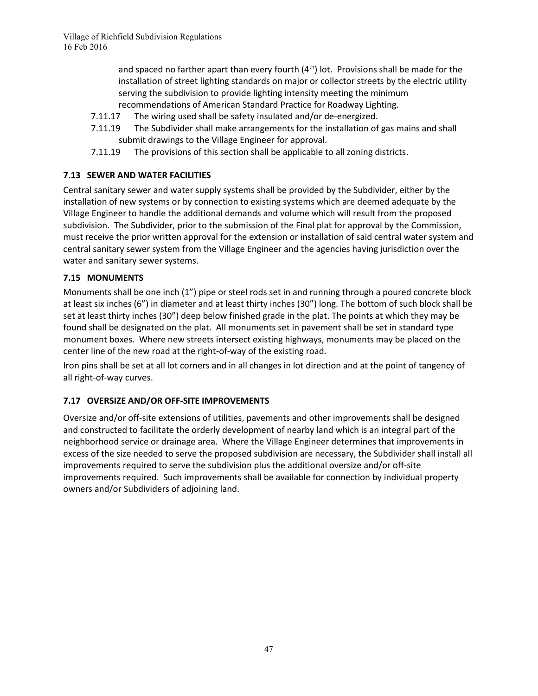and spaced no farther apart than every fourth  $(4<sup>th</sup>)$  lot. Provisions shall be made for the installation of street lighting standards on major or collector streets by the electric utility serving the subdivision to provide lighting intensity meeting the minimum recommendations of American Standard Practice for Roadway Lighting.

- 7.11.17 The wiring used shall be safety insulated and/or de-energized.
- 7.11.19 The Subdivider shall make arrangements for the installation of gas mains and shall submit drawings to the Village Engineer for approval.
- 7.11.19 The provisions of this section shall be applicable to all zoning districts.

# **7.13 SEWER AND WATER FACILITIES**

Central sanitary sewer and water supply systems shall be provided by the Subdivider, either by the installation of new systems or by connection to existing systems which are deemed adequate by the Village Engineer to handle the additional demands and volume which will result from the proposed subdivision. The Subdivider, prior to the submission of the Final plat for approval by the Commission, must receive the prior written approval for the extension or installation of said central water system and central sanitary sewer system from the Village Engineer and the agencies having jurisdiction over the water and sanitary sewer systems.

#### **7.15 MONUMENTS**

Monuments shall be one inch (1") pipe or steel rods set in and running through a poured concrete block at least six inches (6") in diameter and at least thirty inches (30") long. The bottom of such block shall be set at least thirty inches (30") deep below finished grade in the plat. The points at which they may be found shall be designated on the plat. All monuments set in pavement shall be set in standard type monument boxes. Where new streets intersect existing highways, monuments may be placed on the center line of the new road at the right-of-way of the existing road.

Iron pins shall be set at all lot corners and in all changes in lot direction and at the point of tangency of all right-of-way curves.

# **7.17 OVERSIZE AND/OR OFF-SITE IMPROVEMENTS**

Oversize and/or off-site extensions of utilities, pavements and other improvements shall be designed and constructed to facilitate the orderly development of nearby land which is an integral part of the neighborhood service or drainage area. Where the Village Engineer determines that improvements in excess of the size needed to serve the proposed subdivision are necessary, the Subdivider shall install all improvements required to serve the subdivision plus the additional oversize and/or off-site improvements required. Such improvements shall be available for connection by individual property owners and/or Subdividers of adjoining land.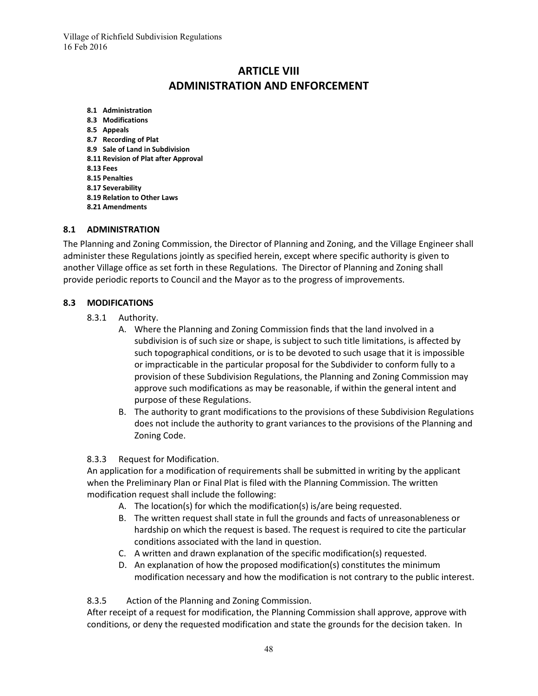# **ARTICLE VIII ADMINISTRATION AND ENFORCEMENT**

**8.1 Administration 8.3 Modifications 8.5 Appeals 8.7 Recording of Plat 8.9 Sale of Land in Subdivision 8.11 Revision of Plat after Approval 8.13 Fees 8.15 Penalties 8.17 Severability 8.19 Relation to Other Laws 8.21 Amendments**

#### **8.1 ADMINISTRATION**

The Planning and Zoning Commission, the Director of Planning and Zoning, and the Village Engineer shall administer these Regulations jointly as specified herein, except where specific authority is given to another Village office as set forth in these Regulations. The Director of Planning and Zoning shall provide periodic reports to Council and the Mayor as to the progress of improvements.

#### **8.3 MODIFICATIONS**

- 8.3.1 Authority.
	- A. Where the Planning and Zoning Commission finds that the land involved in a subdivision is of such size or shape, is subject to such title limitations, is affected by such topographical conditions, or is to be devoted to such usage that it is impossible or impracticable in the particular proposal for the Subdivider to conform fully to a provision of these Subdivision Regulations, the Planning and Zoning Commission may approve such modifications as may be reasonable, if within the general intent and purpose of these Regulations.
	- B. The authority to grant modifications to the provisions of these Subdivision Regulations does not include the authority to grant variances to the provisions of the Planning and Zoning Code.

#### 8.3.3 Request for Modification.

An application for a modification of requirements shall be submitted in writing by the applicant when the Preliminary Plan or Final Plat is filed with the Planning Commission. The written modification request shall include the following:

- A. The location(s) for which the modification(s) is/are being requested.
- B. The written request shall state in full the grounds and facts of unreasonableness or hardship on which the request is based. The request is required to cite the particular conditions associated with the land in question.
- C. A written and drawn explanation of the specific modification(s) requested.
- D. An explanation of how the proposed modification(s) constitutes the minimum modification necessary and how the modification is not contrary to the public interest.

8.3.5 Action of the Planning and Zoning Commission.

After receipt of a request for modification, the Planning Commission shall approve, approve with conditions, or deny the requested modification and state the grounds for the decision taken. In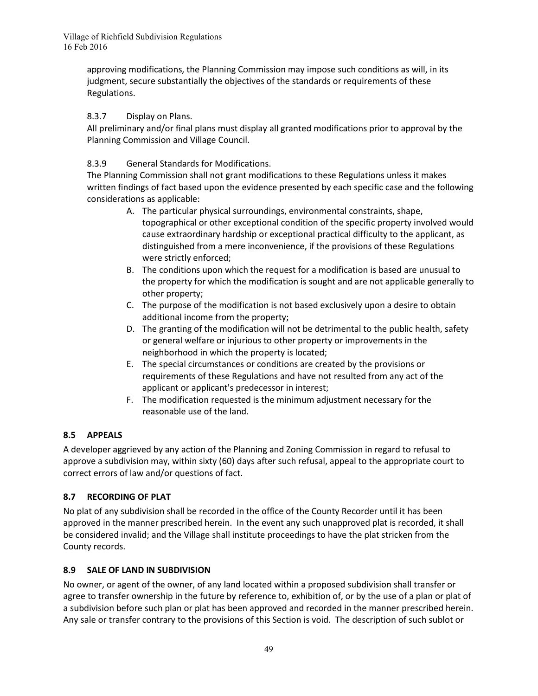approving modifications, the Planning Commission may impose such conditions as will, in its judgment, secure substantially the objectives of the standards or requirements of these Regulations.

# 8.3.7 Display on Plans.

All preliminary and/or final plans must display all granted modifications prior to approval by the Planning Commission and Village Council.

# 8.3.9 General Standards for Modifications.

The Planning Commission shall not grant modifications to these Regulations unless it makes written findings of fact based upon the evidence presented by each specific case and the following considerations as applicable:

- A. The particular physical surroundings, environmental constraints, shape, topographical or other exceptional condition of the specific property involved would cause extraordinary hardship or exceptional practical difficulty to the applicant, as distinguished from a mere inconvenience, if the provisions of these Regulations were strictly enforced;
- B. The conditions upon which the request for a modification is based are unusual to the property for which the modification is sought and are not applicable generally to other property;
- C. The purpose of the modification is not based exclusively upon a desire to obtain additional income from the property;
- D. The granting of the modification will not be detrimental to the public health, safety or general welfare or injurious to other property or improvements in the neighborhood in which the property is located;
- E. The special circumstances or conditions are created by the provisions or requirements of these Regulations and have not resulted from any act of the applicant or applicant's predecessor in interest;
- F. The modification requested is the minimum adjustment necessary for the reasonable use of the land.

# **8.5 APPEALS**

A developer aggrieved by any action of the Planning and Zoning Commission in regard to refusal to approve a subdivision may, within sixty (60) days after such refusal, appeal to the appropriate court to correct errors of law and/or questions of fact.

# **8.7 RECORDING OF PLAT**

No plat of any subdivision shall be recorded in the office of the County Recorder until it has been approved in the manner prescribed herein. In the event any such unapproved plat is recorded, it shall be considered invalid; and the Village shall institute proceedings to have the plat stricken from the County records.

# **8.9 SALE OF LAND IN SUBDIVISION**

No owner, or agent of the owner, of any land located within a proposed subdivision shall transfer or agree to transfer ownership in the future by reference to, exhibition of, or by the use of a plan or plat of a subdivision before such plan or plat has been approved and recorded in the manner prescribed herein. Any sale or transfer contrary to the provisions of this Section is void. The description of such sublot or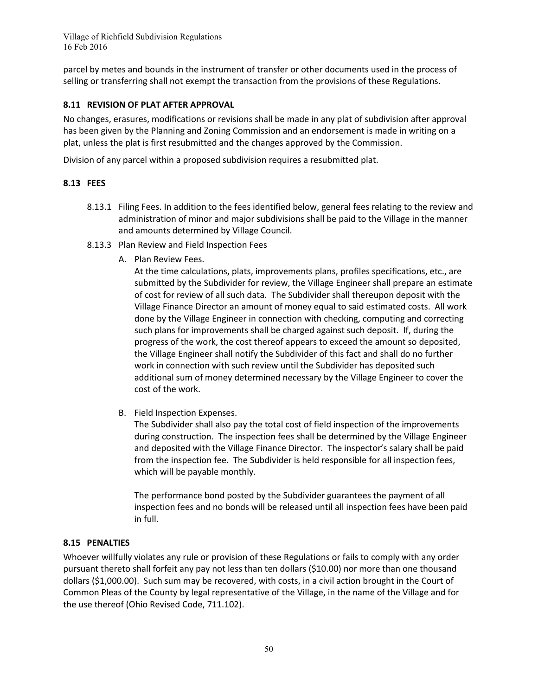parcel by metes and bounds in the instrument of transfer or other documents used in the process of selling or transferring shall not exempt the transaction from the provisions of these Regulations.

#### **8.11 REVISION OF PLAT AFTER APPROVAL**

No changes, erasures, modifications or revisions shall be made in any plat of subdivision after approval has been given by the Planning and Zoning Commission and an endorsement is made in writing on a plat, unless the plat is first resubmitted and the changes approved by the Commission.

Division of any parcel within a proposed subdivision requires a resubmitted plat.

#### **8.13 FEES**

- 8.13.1 Filing Fees. In addition to the fees identified below, general fees relating to the review and administration of minor and major subdivisions shall be paid to the Village in the manner and amounts determined by Village Council.
- 8.13.3 Plan Review and Field Inspection Fees
	- A. Plan Review Fees.

At the time calculations, plats, improvements plans, profiles specifications, etc., are submitted by the Subdivider for review, the Village Engineer shall prepare an estimate of cost for review of all such data. The Subdivider shall thereupon deposit with the Village Finance Director an amount of money equal to said estimated costs. All work done by the Village Engineer in connection with checking, computing and correcting such plans for improvements shall be charged against such deposit. If, during the progress of the work, the cost thereof appears to exceed the amount so deposited, the Village Engineer shall notify the Subdivider of this fact and shall do no further work in connection with such review until the Subdivider has deposited such additional sum of money determined necessary by the Village Engineer to cover the cost of the work.

B. Field Inspection Expenses.

The Subdivider shall also pay the total cost of field inspection of the improvements during construction. The inspection fees shall be determined by the Village Engineer and deposited with the Village Finance Director. The inspector's salary shall be paid from the inspection fee. The Subdivider is held responsible for all inspection fees, which will be payable monthly.

The performance bond posted by the Subdivider guarantees the payment of all inspection fees and no bonds will be released until all inspection fees have been paid in full.

#### **8.15 PENALTIES**

Whoever willfully violates any rule or provision of these Regulations or fails to comply with any order pursuant thereto shall forfeit any pay not less than ten dollars (\$10.00) nor more than one thousand dollars (\$1,000.00). Such sum may be recovered, with costs, in a civil action brought in the Court of Common Pleas of the County by legal representative of the Village, in the name of the Village and for the use thereof (Ohio Revised Code, 711.102).